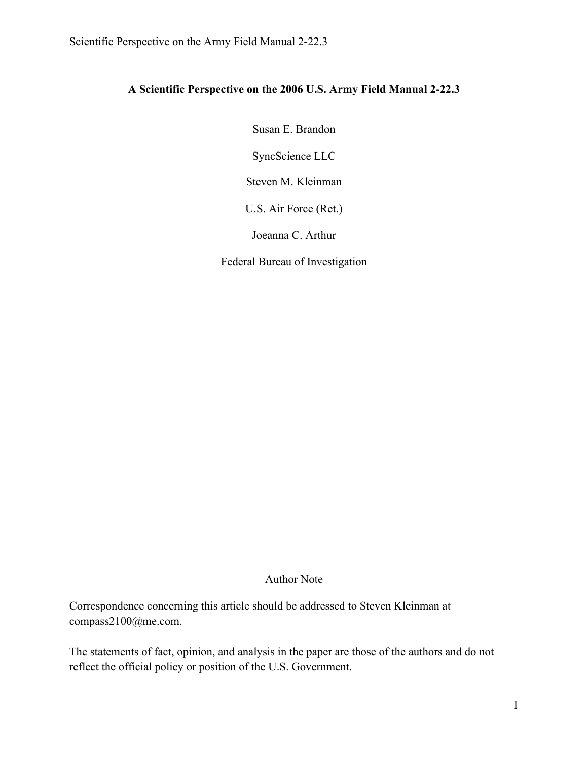## **A Scientific Perspective on the 2006 U.S. Army Field Manual 2-22.3**

Susan E. Brandon

SyncScience LLC

Steven M. Kleinman

U.S. Air Force (Ret.)

Joeanna C. Arthur

Federal Bureau of Investigation

Author Note

Correspondence concerning this article should be addressed to Steven Kleinman at compass2100@me.com.

The statements of fact, opinion, and analysis in the paper are those of the authors and do not reflect the official policy or position of the U.S. Government.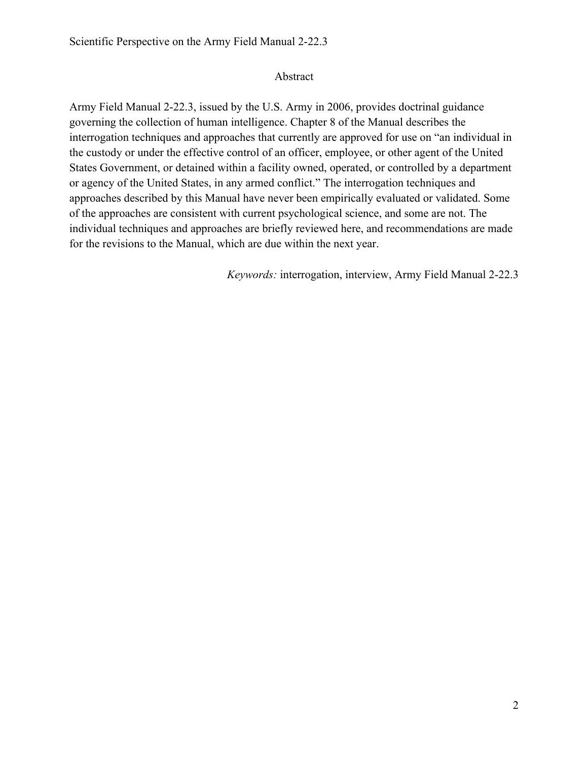### Abstract

Army Field Manual 2-22.3, issued by the U.S. Army in 2006, provides doctrinal guidance governing the collection of human intelligence. Chapter 8 of the Manual describes the interrogation techniques and approaches that currently are approved for use on "an individual in the custody or under the effective control of an officer, employee, or other agent of the United States Government, or detained within a facility owned, operated, or controlled by a department or agency of the United States, in any armed conflict." The interrogation techniques and approaches described by this Manual have never been empirically evaluated or validated. Some of the approaches are consistent with current psychological science, and some are not. The individual techniques and approaches are briefly reviewed here, and recommendations are made for the revisions to the Manual, which are due within the next year.

*Keywords:* interrogation, interview, Army Field Manual 2-22.3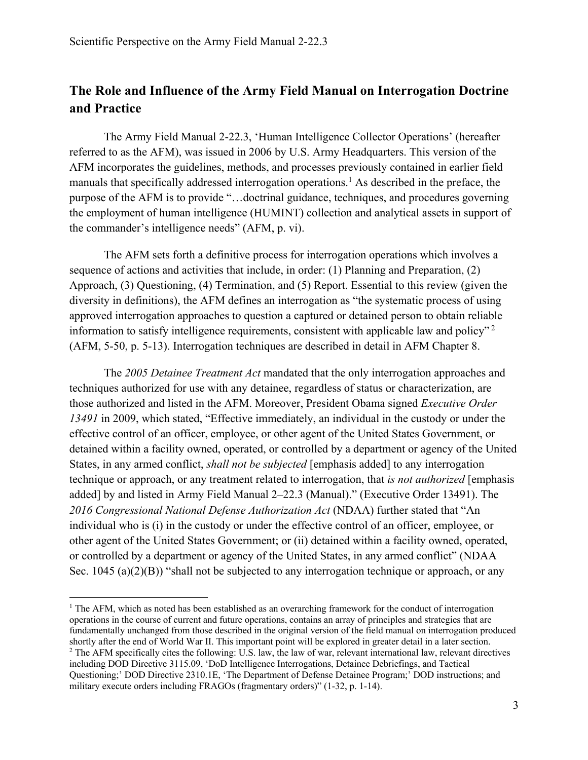# **The Role and Influence of the Army Field Manual on Interrogation Doctrine and Practice**

The Army Field Manual 2-22.3, 'Human Intelligence Collector Operations' (hereafter referred to as the AFM), was issued in 2006 by U.S. Army Headquarters. This version of the AFM incorporates the guidelines, methods, and processes previously contained in earlier field manuals that specifically addressed interrogation operations. <sup>1</sup> As described in the preface, the purpose of the AFM is to provide "…doctrinal guidance, techniques, and procedures governing the employment of human intelligence (HUMINT) collection and analytical assets in support of the commander's intelligence needs" (AFM, p. vi).

The AFM sets forth a definitive process for interrogation operations which involves a sequence of actions and activities that include, in order: (1) Planning and Preparation, (2) Approach, (3) Questioning, (4) Termination, and (5) Report. Essential to this review (given the diversity in definitions), the AFM defines an interrogation as "the systematic process of using approved interrogation approaches to question a captured or detained person to obtain reliable information to satisfy intelligence requirements, consistent with applicable law and policy" <sup>2</sup> (AFM, 5-50, p. 5-13). Interrogation techniques are described in detail in AFM Chapter 8.

The *2005 Detainee Treatment Act* mandated that the only interrogation approaches and techniques authorized for use with any detainee, regardless of status or characterization, are those authorized and listed in the AFM. Moreover, President Obama signed *Executive Order 13491* in 2009, which stated, "Effective immediately, an individual in the custody or under the effective control of an officer, employee, or other agent of the United States Government, or detained within a facility owned, operated, or controlled by a department or agency of the United States, in any armed conflict, *shall not be subjected* [emphasis added] to any interrogation technique or approach, or any treatment related to interrogation, that *is not authorized* [emphasis added] by and listed in Army Field Manual 2–22.3 (Manual)." (Executive Order 13491). The *2016 Congressional National Defense Authorization Act* (NDAA) further stated that "An individual who is (i) in the custody or under the effective control of an officer, employee, or other agent of the United States Government; or (ii) detained within a facility owned, operated, or controlled by a department or agency of the United States, in any armed conflict" (NDAA Sec. 1045 (a)(2)(B)) "shall not be subjected to any interrogation technique or approach, or any

 $1$  The AFM, which as noted has been established as an overarching framework for the conduct of interrogation operations in the course of current and future operations, contains an array of principles and strategies that are fundamentally unchanged from those described in the original version of the field manual on interrogation produced shortly after the end of World War II. This important point will be explored in greater detail in a later section. <sup>2</sup> The AFM specifically cites the following: U.S. law, the law of war, relevant international law, relevant directives including DOD Directive 3115.09, 'DoD Intelligence Interrogations, Detainee Debriefings, and Tactical Questioning;' DOD Directive 2310.1E, 'The Department of Defense Detainee Program;' DOD instructions; and military execute orders including FRAGOs (fragmentary orders)" (1-32, p. 1-14).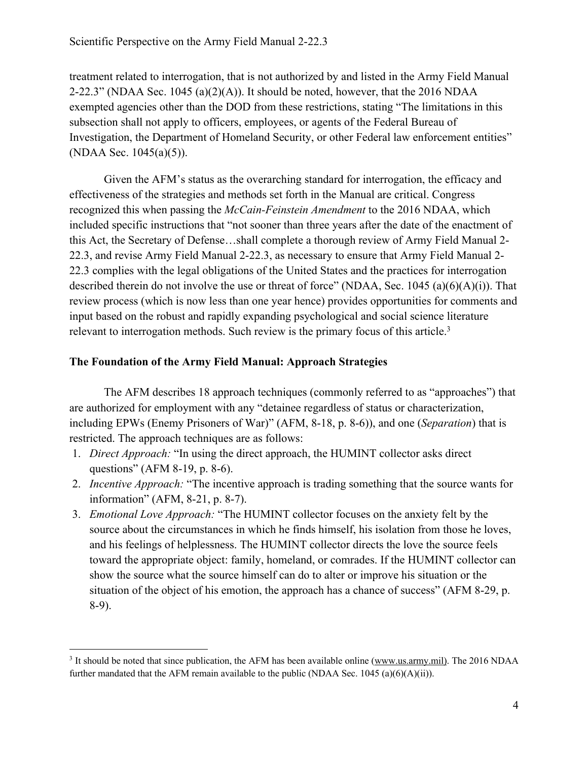treatment related to interrogation, that is not authorized by and listed in the Army Field Manual 2-22.3" (NDAA Sec.  $1045$  (a)(2)(A)). It should be noted, however, that the 2016 NDAA exempted agencies other than the DOD from these restrictions, stating "The limitations in this subsection shall not apply to officers, employees, or agents of the Federal Bureau of Investigation, the Department of Homeland Security, or other Federal law enforcement entities" (NDAA Sec. 1045(a)(5)).

Given the AFM's status as the overarching standard for interrogation, the efficacy and effectiveness of the strategies and methods set forth in the Manual are critical. Congress recognized this when passing the *McCain-Feinstein Amendment* to the 2016 NDAA, which included specific instructions that "not sooner than three years after the date of the enactment of this Act, the Secretary of Defense…shall complete a thorough review of Army Field Manual 2- 22.3, and revise Army Field Manual 2-22.3, as necessary to ensure that Army Field Manual 2- 22.3 complies with the legal obligations of the United States and the practices for interrogation described therein do not involve the use or threat of force" (NDAA, Sec.  $1045$  (a)(6)(A)(i)). That review process (which is now less than one year hence) provides opportunities for comments and input based on the robust and rapidly expanding psychological and social science literature relevant to interrogation methods. Such review is the primary focus of this article.<sup>3</sup>

### **The Foundation of the Army Field Manual: Approach Strategies**

The AFM describes 18 approach techniques (commonly referred to as "approaches") that are authorized for employment with any "detainee regardless of status or characterization, including EPWs (Enemy Prisoners of War)" (AFM, 8-18, p. 8-6)), and one (*Separation*) that is restricted. The approach techniques are as follows:

- 1. *Direct Approach:* "In using the direct approach, the HUMINT collector asks direct questions" (AFM 8-19, p. 8-6).
- 2. *Incentive Approach:* "The incentive approach is trading something that the source wants for information" (AFM, 8-21, p. 8-7).
- 3. *Emotional Love Approach:* "The HUMINT collector focuses on the anxiety felt by the source about the circumstances in which he finds himself, his isolation from those he loves, and his feelings of helplessness. The HUMINT collector directs the love the source feels toward the appropriate object: family, homeland, or comrades. If the HUMINT collector can show the source what the source himself can do to alter or improve his situation or the situation of the object of his emotion, the approach has a chance of success" (AFM 8-29, p. 8-9).

<sup>&</sup>lt;sup>3</sup> It should be noted that since publication, the AFM has been available online (www.us.army.mil). The 2016 NDAA further mandated that the AFM remain available to the public (NDAA Sec. 1045 (a)(6)(A)(ii)).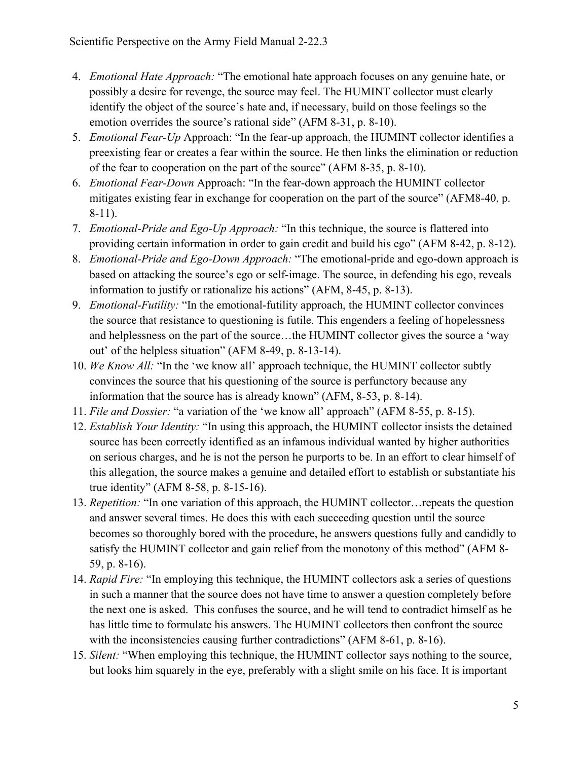- 4. *Emotional Hate Approach:* "The emotional hate approach focuses on any genuine hate, or possibly a desire for revenge, the source may feel. The HUMINT collector must clearly identify the object of the source's hate and, if necessary, build on those feelings so the emotion overrides the source's rational side" (AFM 8-31, p. 8-10).
- 5. *Emotional Fear-Up* Approach: "In the fear-up approach, the HUMINT collector identifies a preexisting fear or creates a fear within the source. He then links the elimination or reduction of the fear to cooperation on the part of the source" (AFM 8-35, p. 8-10).
- 6. *Emotional Fear-Down* Approach: "In the fear-down approach the HUMINT collector mitigates existing fear in exchange for cooperation on the part of the source" (AFM8-40, p. 8-11).
- 7. *Emotional-Pride and Ego-Up Approach:* "In this technique, the source is flattered into providing certain information in order to gain credit and build his ego" (AFM 8-42, p. 8-12).
- 8. *Emotional-Pride and Ego-Down Approach:* "The emotional-pride and ego-down approach is based on attacking the source's ego or self-image. The source, in defending his ego, reveals information to justify or rationalize his actions" (AFM, 8-45, p. 8-13).
- 9. *Emotional-Futility:* "In the emotional-futility approach, the HUMINT collector convinces the source that resistance to questioning is futile. This engenders a feeling of hopelessness and helplessness on the part of the source…the HUMINT collector gives the source a 'way out' of the helpless situation" (AFM 8-49, p. 8-13-14).
- 10. *We Know All:* "In the 'we know all' approach technique, the HUMINT collector subtly convinces the source that his questioning of the source is perfunctory because any information that the source has is already known" (AFM, 8-53, p. 8-14).
- 11. *File and Dossier:* "a variation of the 'we know all' approach" (AFM 8-55, p. 8-15).
- 12. *Establish Your Identity:* "In using this approach, the HUMINT collector insists the detained source has been correctly identified as an infamous individual wanted by higher authorities on serious charges, and he is not the person he purports to be. In an effort to clear himself of this allegation, the source makes a genuine and detailed effort to establish or substantiate his true identity" (AFM 8-58, p. 8-15-16).
- 13. *Repetition:* "In one variation of this approach, the HUMINT collector…repeats the question and answer several times. He does this with each succeeding question until the source becomes so thoroughly bored with the procedure, he answers questions fully and candidly to satisfy the HUMINT collector and gain relief from the monotony of this method" (AFM 8- 59, p. 8-16).
- 14. *Rapid Fire:* "In employing this technique, the HUMINT collectors ask a series of questions in such a manner that the source does not have time to answer a question completely before the next one is asked. This confuses the source, and he will tend to contradict himself as he has little time to formulate his answers. The HUMINT collectors then confront the source with the inconsistencies causing further contradictions" (AFM 8-61, p. 8-16).
- 15. *Silent:* "When employing this technique, the HUMINT collector says nothing to the source, but looks him squarely in the eye, preferably with a slight smile on his face. It is important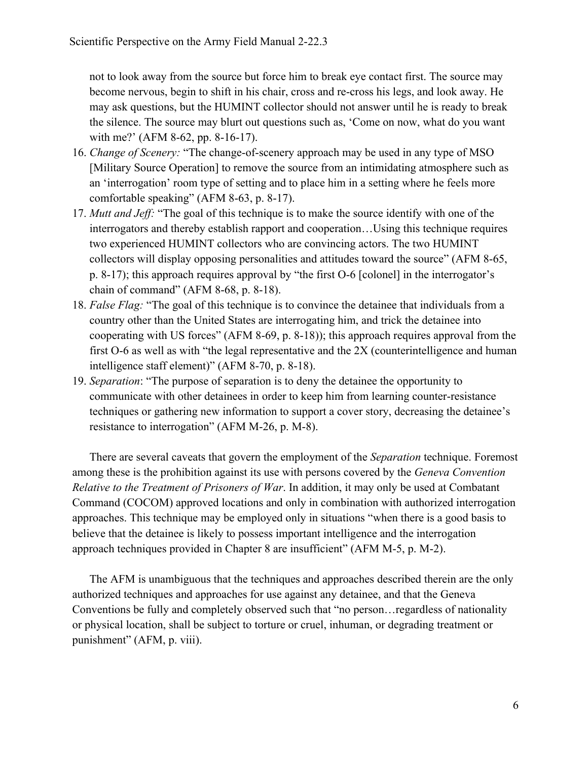not to look away from the source but force him to break eye contact first. The source may become nervous, begin to shift in his chair, cross and re-cross his legs, and look away. He may ask questions, but the HUMINT collector should not answer until he is ready to break the silence. The source may blurt out questions such as, 'Come on now, what do you want with me?' (AFM 8-62, pp. 8-16-17).

- 16. *Change of Scenery:* "The change-of-scenery approach may be used in any type of MSO [Military Source Operation] to remove the source from an intimidating atmosphere such as an 'interrogation' room type of setting and to place him in a setting where he feels more comfortable speaking" (AFM 8-63, p. 8-17).
- 17. *Mutt and Jeff:* "The goal of this technique is to make the source identify with one of the interrogators and thereby establish rapport and cooperation…Using this technique requires two experienced HUMINT collectors who are convincing actors. The two HUMINT collectors will display opposing personalities and attitudes toward the source" (AFM 8-65, p. 8-17); this approach requires approval by "the first O-6 [colonel] in the interrogator's chain of command" (AFM 8-68, p. 8-18).
- 18. *False Flag:* "The goal of this technique is to convince the detainee that individuals from a country other than the United States are interrogating him, and trick the detainee into cooperating with US forces" (AFM 8-69, p. 8-18)); this approach requires approval from the first O-6 as well as with "the legal representative and the 2X (counterintelligence and human intelligence staff element)" (AFM 8-70, p. 8-18).
- 19. *Separation*: "The purpose of separation is to deny the detainee the opportunity to communicate with other detainees in order to keep him from learning counter-resistance techniques or gathering new information to support a cover story, decreasing the detainee's resistance to interrogation" (AFM M-26, p. M-8).

There are several caveats that govern the employment of the *Separation* technique. Foremost among these is the prohibition against its use with persons covered by the *Geneva Convention Relative to the Treatment of Prisoners of War*. In addition, it may only be used at Combatant Command (COCOM) approved locations and only in combination with authorized interrogation approaches. This technique may be employed only in situations "when there is a good basis to believe that the detainee is likely to possess important intelligence and the interrogation approach techniques provided in Chapter 8 are insufficient" (AFM M-5, p. M-2).

The AFM is unambiguous that the techniques and approaches described therein are the only authorized techniques and approaches for use against any detainee, and that the Geneva Conventions be fully and completely observed such that "no person…regardless of nationality or physical location, shall be subject to torture or cruel, inhuman, or degrading treatment or punishment" (AFM, p. viii).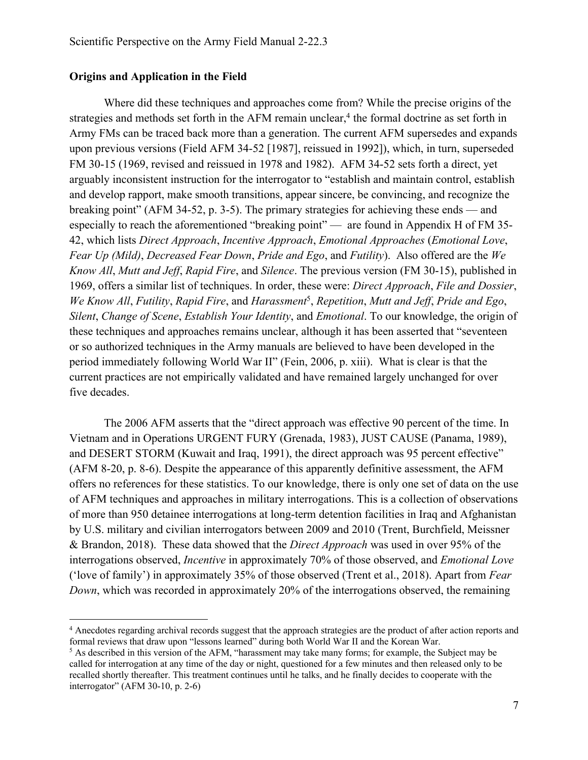#### **Origins and Application in the Field**

Where did these techniques and approaches come from? While the precise origins of the strategies and methods set forth in the AFM remain unclear, <sup>4</sup> the formal doctrine as set forth in Army FMs can be traced back more than a generation. The current AFM supersedes and expands upon previous versions (Field AFM 34-52 [1987], reissued in 1992]), which, in turn, superseded FM 30-15 (1969, revised and reissued in 1978 and 1982). AFM 34-52 sets forth a direct, yet arguably inconsistent instruction for the interrogator to "establish and maintain control, establish and develop rapport, make smooth transitions, appear sincere, be convincing, and recognize the breaking point" (AFM 34-52, p. 3-5). The primary strategies for achieving these ends — and especially to reach the aforementioned "breaking point" — are found in Appendix H of FM 35-42, which lists *Direct Approach*, *Incentive Approach*, *Emotional Approaches* (*Emotional Love*, *Fear Up (Mild)*, *Decreased Fear Down*, *Pride and Ego*, and *Futility*). Also offered are the *We Know All*, *Mutt and Jeff*, *Rapid Fire*, and *Silence*. The previous version (FM 30-15), published in 1969, offers a similar list of techniques. In order, these were: *Direct Approach*, *File and Dossier*, *We Know All*, *Futility*, *Rapid Fire*, and *Harassment*5, *Repetition*, *Mutt and Jeff*, *Pride and Ego*, *Silent*, *Change of Scene*, *Establish Your Identity*, and *Emotional*. To our knowledge, the origin of these techniques and approaches remains unclear, although it has been asserted that "seventeen or so authorized techniques in the Army manuals are believed to have been developed in the period immediately following World War II" (Fein, 2006, p. xiii). What is clear is that the current practices are not empirically validated and have remained largely unchanged for over five decades.

The 2006 AFM asserts that the "direct approach was effective 90 percent of the time. In Vietnam and in Operations URGENT FURY (Grenada, 1983), JUST CAUSE (Panama, 1989), and DESERT STORM (Kuwait and Iraq, 1991), the direct approach was 95 percent effective" (AFM 8-20, p. 8-6). Despite the appearance of this apparently definitive assessment, the AFM offers no references for these statistics. To our knowledge, there is only one set of data on the use of AFM techniques and approaches in military interrogations. This is a collection of observations of more than 950 detainee interrogations at long-term detention facilities in Iraq and Afghanistan by U.S. military and civilian interrogators between 2009 and 2010 (Trent, Burchfield, Meissner & Brandon, 2018). These data showed that the *Direct Approach* was used in over 95% of the interrogations observed, *Incentive* in approximately 70% of those observed, and *Emotional Love* ('love of family') in approximately 35% of those observed (Trent et al., 2018). Apart from *Fear Down*, which was recorded in approximately 20% of the interrogations observed, the remaining

<sup>4</sup> Anecdotes regarding archival records suggest that the approach strategies are the product of after action reports and formal reviews that draw upon "lessons learned" during both World War II and the Korean War.

<sup>&</sup>lt;sup>5</sup> As described in this version of the AFM, "harassment may take many forms; for example, the Subject may be called for interrogation at any time of the day or night, questioned for a few minutes and then released only to be recalled shortly thereafter. This treatment continues until he talks, and he finally decides to cooperate with the interrogator" (AFM 30-10, p. 2-6)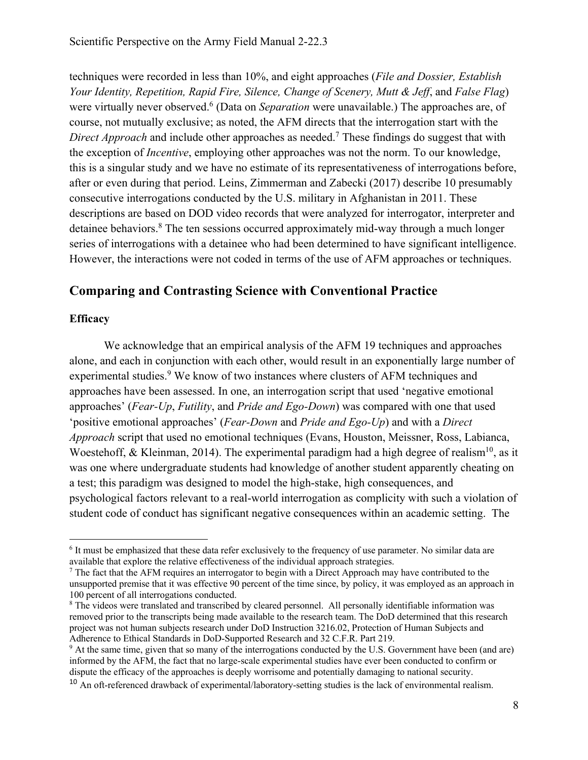techniques were recorded in less than 10%, and eight approaches (*File and Dossier, Establish Your Identity, Repetition, Rapid Fire, Silence, Change of Scenery, Mutt & Jeff*, and *False Flag*) were virtually never observed.<sup>6</sup> (Data on *Separation* were unavailable.) The approaches are, of course, not mutually exclusive; as noted, the AFM directs that the interrogation start with the *Direct Approach* and include other approaches as needed.<sup>7</sup> These findings do suggest that with the exception of *Incentive*, employing other approaches was not the norm. To our knowledge, this is a singular study and we have no estimate of its representativeness of interrogations before, after or even during that period. Leins, Zimmerman and Zabecki (2017) describe 10 presumably consecutive interrogations conducted by the U.S. military in Afghanistan in 2011. These descriptions are based on DOD video records that were analyzed for interrogator, interpreter and detainee behaviors.<sup>8</sup> The ten sessions occurred approximately mid-way through a much longer series of interrogations with a detainee who had been determined to have significant intelligence. However, the interactions were not coded in terms of the use of AFM approaches or techniques.

# **Comparing and Contrasting Science with Conventional Practice**

### **Efficacy**

We acknowledge that an empirical analysis of the AFM 19 techniques and approaches alone, and each in conjunction with each other, would result in an exponentially large number of experimental studies.<sup>9</sup> We know of two instances where clusters of AFM techniques and approaches have been assessed. In one, an interrogation script that used 'negative emotional approaches' (*Fear-Up*, *Futility*, and *Pride and Ego-Down*) was compared with one that used 'positive emotional approaches' (*Fear-Down* and *Pride and Ego-Up*) and with a *Direct Approach* script that used no emotional techniques (Evans, Houston, Meissner, Ross, Labianca, Woestehoff, & Kleinman, 2014). The experimental paradigm had a high degree of realism<sup>10</sup>, as it was one where undergraduate students had knowledge of another student apparently cheating on a test; this paradigm was designed to model the high-stake, high consequences, and psychological factors relevant to a real-world interrogation as complicity with such a violation of student code of conduct has significant negative consequences within an academic setting. The

 $6$  It must be emphasized that these data refer exclusively to the frequency of use parameter. No similar data are available that explore the relative effectiveness of the individual approach strategies.

<sup>&</sup>lt;sup>7</sup> The fact that the AFM requires an interrogator to begin with a Direct Approach may have contributed to the unsupported premise that it was effective 90 percent of the time since, by policy, it was employed as an approach in 100 percent of all interrogations conducted.

<sup>8</sup> The videos were translated and transcribed by cleared personnel. All personally identifiable information was removed prior to the transcripts being made available to the research team. The DoD determined that this research project was not human subjects research under DoD Instruction 3216.02, Protection of Human Subjects and Adherence to Ethical Standards in DoD-Supported Research and 32 C.F.R. Part 219.

<sup>&</sup>lt;sup>9</sup> At the same time, given that so many of the interrogations conducted by the U.S. Government have been (and are) informed by the AFM, the fact that no large-scale experimental studies have ever been conducted to confirm or dispute the efficacy of the approaches is deeply worrisome and potentially damaging to national security.

<sup>&</sup>lt;sup>10</sup> An oft-referenced drawback of experimental/laboratory-setting studies is the lack of environmental realism.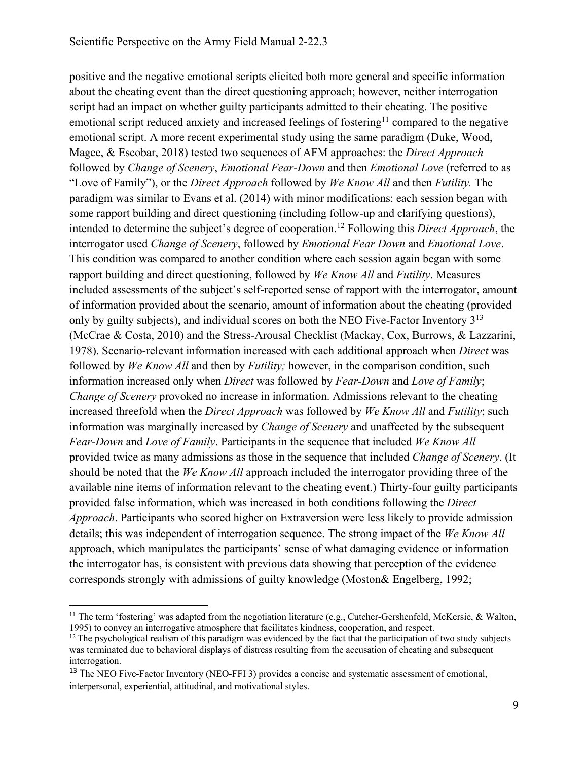positive and the negative emotional scripts elicited both more general and specific information about the cheating event than the direct questioning approach; however, neither interrogation script had an impact on whether guilty participants admitted to their cheating. The positive emotional script reduced anxiety and increased feelings of fostering<sup>11</sup> compared to the negative emotional script. A more recent experimental study using the same paradigm (Duke, Wood, Magee, & Escobar, 2018) tested two sequences of AFM approaches: the *Direct Approach* followed by *Change of Scenery*, *Emotional Fear-Down* and then *Emotional Love* (referred to as "Love of Family"), or the *Direct Approach* followed by *We Know All* and then *Futility.* The paradigm was similar to Evans et al. (2014) with minor modifications: each session began with some rapport building and direct questioning (including follow-up and clarifying questions), intended to determine the subject's degree of cooperation.12 Following this *Direct Approach*, the interrogator used *Change of Scenery*, followed by *Emotional Fear Down* and *Emotional Love*. This condition was compared to another condition where each session again began with some rapport building and direct questioning, followed by *We Know All* and *Futility*. Measures included assessments of the subject's self-reported sense of rapport with the interrogator, amount of information provided about the scenario, amount of information about the cheating (provided only by guilty subjects), and individual scores on both the NEO Five-Factor Inventory 3<sup>13</sup> (McCrae & Costa, 2010) and the Stress-Arousal Checklist (Mackay, Cox, Burrows, & Lazzarini, 1978). Scenario-relevant information increased with each additional approach when *Direct* was followed by *We Know All* and then by *Futility;* however, in the comparison condition, such information increased only when *Direct* was followed by *Fear-Down* and *Love of Family*; *Change of Scenery* provoked no increase in information. Admissions relevant to the cheating increased threefold when the *Direct Approach* was followed by *We Know All* and *Futility*; such information was marginally increased by *Change of Scenery* and unaffected by the subsequent *Fear-Down* and *Love of Family*. Participants in the sequence that included *We Know All* provided twice as many admissions as those in the sequence that included *Change of Scenery*. (It should be noted that the *We Know All* approach included the interrogator providing three of the available nine items of information relevant to the cheating event.) Thirty-four guilty participants provided false information, which was increased in both conditions following the *Direct Approach*. Participants who scored higher on Extraversion were less likely to provide admission details; this was independent of interrogation sequence. The strong impact of the *We Know All* approach, which manipulates the participants' sense of what damaging evidence or information the interrogator has, is consistent with previous data showing that perception of the evidence corresponds strongly with admissions of guilty knowledge (Moston& Engelberg, 1992;

<sup>&</sup>lt;sup>11</sup> The term 'fostering' was adapted from the negotiation literature (e.g., Cutcher-Gershenfeld, McKersie, & Walton, 1995) to convey an interrogative atmosphere that facilitates kindness, cooperation, and respect. 12 The psychological realism of this paradigm was evidenced by the fact that the participation of two study subjects

was terminated due to behavioral displays of distress resulting from the accusation of cheating and subsequent interrogation.

<sup>&</sup>lt;sup>13</sup> The NEO Five-Factor Inventory (NEO-FFI 3) provides a concise and systematic assessment of emotional, interpersonal, experiential, attitudinal, and motivational styles.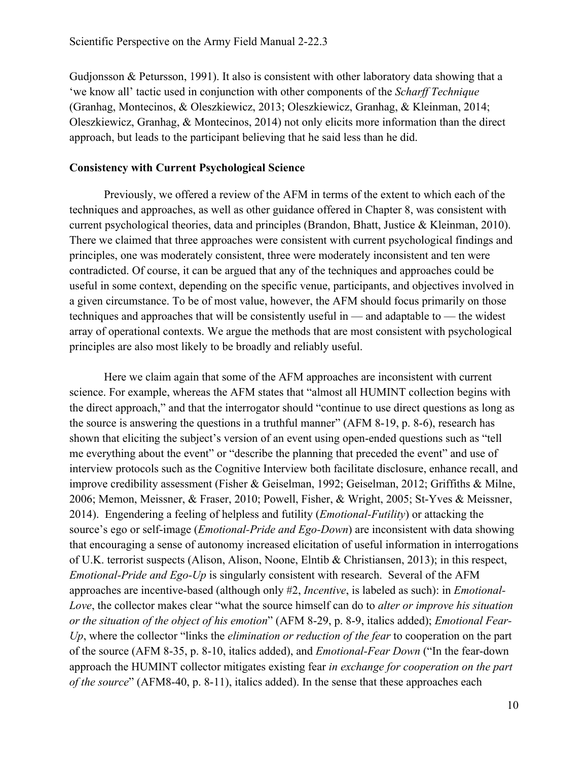Gudjonsson & Petursson, 1991). It also is consistent with other laboratory data showing that a 'we know all' tactic used in conjunction with other components of the *Scharff Technique* (Granhag, Montecinos, & Oleszkiewicz, 2013; Oleszkiewicz, Granhag, & Kleinman, 2014; Oleszkiewicz, Granhag, & Montecinos, 2014) not only elicits more information than the direct approach, but leads to the participant believing that he said less than he did.

#### **Consistency with Current Psychological Science**

Previously, we offered a review of the AFM in terms of the extent to which each of the techniques and approaches, as well as other guidance offered in Chapter 8, was consistent with current psychological theories, data and principles (Brandon, Bhatt, Justice & Kleinman, 2010). There we claimed that three approaches were consistent with current psychological findings and principles, one was moderately consistent, three were moderately inconsistent and ten were contradicted. Of course, it can be argued that any of the techniques and approaches could be useful in some context, depending on the specific venue, participants, and objectives involved in a given circumstance. To be of most value, however, the AFM should focus primarily on those techniques and approaches that will be consistently useful in — and adaptable to — the widest array of operational contexts. We argue the methods that are most consistent with psychological principles are also most likely to be broadly and reliably useful.

Here we claim again that some of the AFM approaches are inconsistent with current science. For example, whereas the AFM states that "almost all HUMINT collection begins with the direct approach," and that the interrogator should "continue to use direct questions as long as the source is answering the questions in a truthful manner" (AFM 8-19, p. 8-6), research has shown that eliciting the subject's version of an event using open-ended questions such as "tell me everything about the event" or "describe the planning that preceded the event" and use of interview protocols such as the Cognitive Interview both facilitate disclosure, enhance recall, and improve credibility assessment (Fisher & Geiselman, 1992; Geiselman, 2012; Griffiths & Milne, 2006; Memon, Meissner, & Fraser, 2010; Powell, Fisher, & Wright, 2005; St-Yves & Meissner, 2014). Engendering a feeling of helpless and futility (*Emotional-Futility*) or attacking the source's ego or self-image (*Emotional-Pride and Ego-Down*) are inconsistent with data showing that encouraging a sense of autonomy increased elicitation of useful information in interrogations of U.K. terrorist suspects (Alison, Alison, Noone, Elntib & Christiansen, 2013); in this respect, *Emotional-Pride and Ego-Up* is singularly consistent with research. Several of the AFM approaches are incentive-based (although only #2, *Incentive*, is labeled as such): in *Emotional-Love*, the collector makes clear "what the source himself can do to *alter or improve his situation or the situation of the object of his emotion*" (AFM 8-29, p. 8-9, italics added); *Emotional Fear-Up*, where the collector "links the *elimination or reduction of the fear* to cooperation on the part of the source (AFM 8-35, p. 8-10, italics added), and *Emotional-Fear Down* ("In the fear-down approach the HUMINT collector mitigates existing fear *in exchange for cooperation on the part of the source*" (AFM8-40, p. 8-11), italics added). In the sense that these approaches each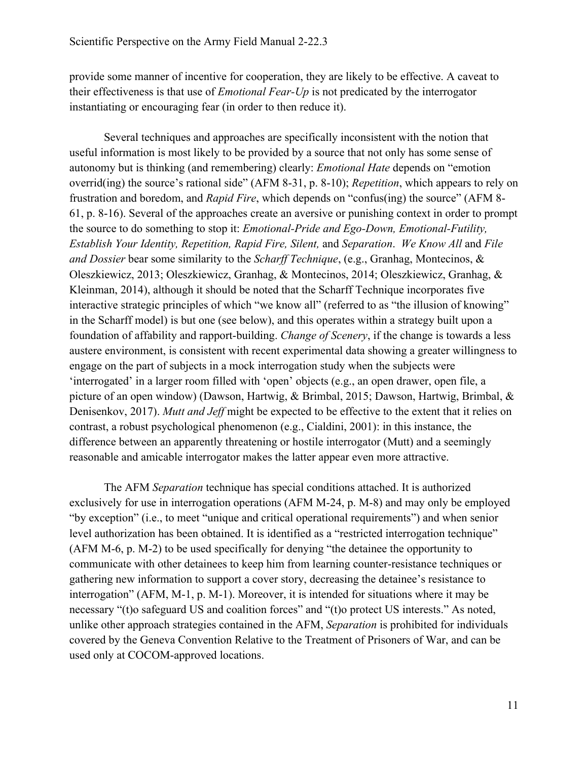provide some manner of incentive for cooperation, they are likely to be effective. A caveat to their effectiveness is that use of *Emotional Fear-Up* is not predicated by the interrogator instantiating or encouraging fear (in order to then reduce it).

Several techniques and approaches are specifically inconsistent with the notion that useful information is most likely to be provided by a source that not only has some sense of autonomy but is thinking (and remembering) clearly: *Emotional Hate* depends on "emotion overrid(ing) the source's rational side" (AFM 8-31, p. 8-10); *Repetition*, which appears to rely on frustration and boredom, and *Rapid Fire*, which depends on "confus(ing) the source" (AFM 8- 61, p. 8-16). Several of the approaches create an aversive or punishing context in order to prompt the source to do something to stop it: *Emotional-Pride and Ego-Down, Emotional-Futility, Establish Your Identity, Repetition, Rapid Fire, Silent,* and *Separation*. *We Know All* and *File and Dossier* bear some similarity to the *Scharff Technique*, (e.g., Granhag, Montecinos, & Oleszkiewicz, 2013; Oleszkiewicz, Granhag, & Montecinos, 2014; Oleszkiewicz, Granhag, & Kleinman, 2014), although it should be noted that the Scharff Technique incorporates five interactive strategic principles of which "we know all" (referred to as "the illusion of knowing" in the Scharff model) is but one (see below), and this operates within a strategy built upon a foundation of affability and rapport-building. *Change of Scenery*, if the change is towards a less austere environment, is consistent with recent experimental data showing a greater willingness to engage on the part of subjects in a mock interrogation study when the subjects were 'interrogated' in a larger room filled with 'open' objects (e.g., an open drawer, open file, a picture of an open window) (Dawson, Hartwig, & Brimbal, 2015; Dawson, Hartwig, Brimbal, & Denisenkov, 2017). *Mutt and Jeff* might be expected to be effective to the extent that it relies on contrast, a robust psychological phenomenon (e.g., Cialdini, 2001): in this instance, the difference between an apparently threatening or hostile interrogator (Mutt) and a seemingly reasonable and amicable interrogator makes the latter appear even more attractive.

The AFM *Separation* technique has special conditions attached. It is authorized exclusively for use in interrogation operations (AFM M-24, p. M-8) and may only be employed "by exception" (i.e., to meet "unique and critical operational requirements") and when senior level authorization has been obtained. It is identified as a "restricted interrogation technique" (AFM M-6, p. M-2) to be used specifically for denying "the detainee the opportunity to communicate with other detainees to keep him from learning counter-resistance techniques or gathering new information to support a cover story, decreasing the detainee's resistance to interrogation" (AFM, M-1, p. M-1). Moreover, it is intended for situations where it may be necessary "(t)o safeguard US and coalition forces" and "(t)o protect US interests." As noted, unlike other approach strategies contained in the AFM, *Separation* is prohibited for individuals covered by the Geneva Convention Relative to the Treatment of Prisoners of War, and can be used only at COCOM-approved locations.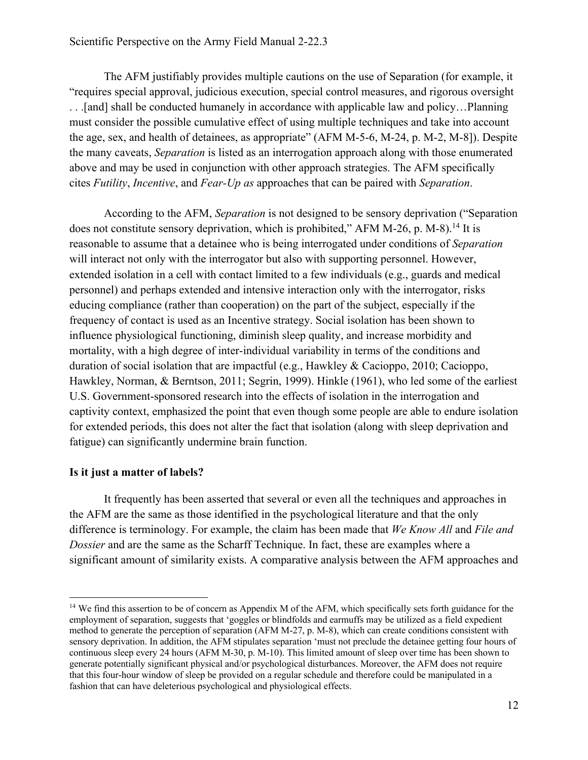The AFM justifiably provides multiple cautions on the use of Separation (for example, it "requires special approval, judicious execution, special control measures, and rigorous oversight . . .[and] shall be conducted humanely in accordance with applicable law and policy…Planning must consider the possible cumulative effect of using multiple techniques and take into account the age, sex, and health of detainees, as appropriate" (AFM M-5-6, M-24, p. M-2, M-8]). Despite the many caveats, *Separation* is listed as an interrogation approach along with those enumerated above and may be used in conjunction with other approach strategies. The AFM specifically cites *Futility*, *Incentive*, and *Fear-Up as* approaches that can be paired with *Separation*.

According to the AFM, *Separation* is not designed to be sensory deprivation ("Separation does not constitute sensory deprivation, which is prohibited," AFM  $M-26$ , p.  $M-8$ ).<sup>14</sup> It is reasonable to assume that a detainee who is being interrogated under conditions of *Separation*  will interact not only with the interrogator but also with supporting personnel. However, extended isolation in a cell with contact limited to a few individuals (e.g., guards and medical personnel) and perhaps extended and intensive interaction only with the interrogator, risks educing compliance (rather than cooperation) on the part of the subject, especially if the frequency of contact is used as an Incentive strategy. Social isolation has been shown to influence physiological functioning, diminish sleep quality, and increase morbidity and mortality, with a high degree of inter-individual variability in terms of the conditions and duration of social isolation that are impactful (e.g., Hawkley & Cacioppo, 2010; Cacioppo, Hawkley, Norman, & Berntson, 2011; Segrin, 1999). Hinkle (1961), who led some of the earliest U.S. Government-sponsored research into the effects of isolation in the interrogation and captivity context, emphasized the point that even though some people are able to endure isolation for extended periods, this does not alter the fact that isolation (along with sleep deprivation and fatigue) can significantly undermine brain function.

### **Is it just a matter of labels?**

It frequently has been asserted that several or even all the techniques and approaches in the AFM are the same as those identified in the psychological literature and that the only difference is terminology. For example, the claim has been made that *We Know All* and *File and Dossier* and are the same as the Scharff Technique. In fact, these are examples where a significant amount of similarity exists. A comparative analysis between the AFM approaches and

 $14$  We find this assertion to be of concern as Appendix M of the AFM, which specifically sets forth guidance for the employment of separation, suggests that 'goggles or blindfolds and earmuffs may be utilized as a field expedient method to generate the perception of separation (AFM M-27, p. M-8), which can create conditions consistent with sensory deprivation. In addition, the AFM stipulates separation 'must not preclude the detainee getting four hours of continuous sleep every 24 hours (AFM M-30, p. M-10). This limited amount of sleep over time has been shown to generate potentially significant physical and/or psychological disturbances. Moreover, the AFM does not require that this four-hour window of sleep be provided on a regular schedule and therefore could be manipulated in a fashion that can have deleterious psychological and physiological effects.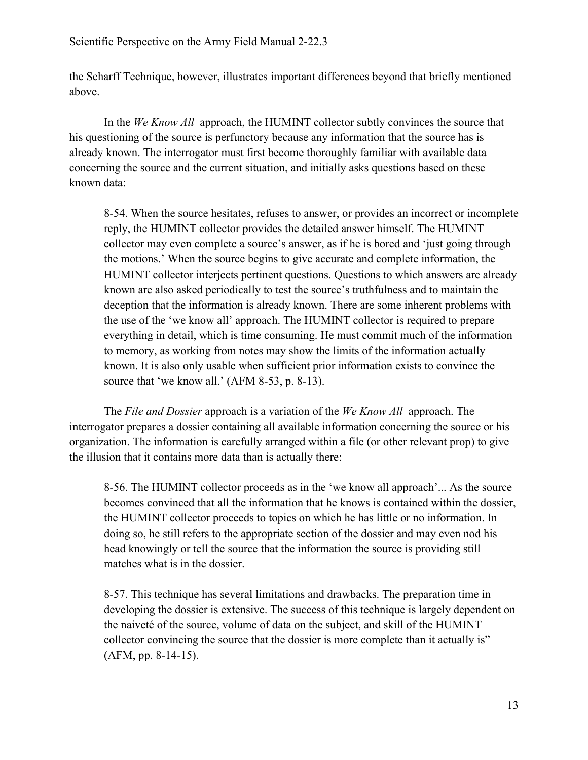the Scharff Technique, however, illustrates important differences beyond that briefly mentioned above.

In the *We Know All* approach, the HUMINT collector subtly convinces the source that his questioning of the source is perfunctory because any information that the source has is already known. The interrogator must first become thoroughly familiar with available data concerning the source and the current situation, and initially asks questions based on these known data:

8-54. When the source hesitates, refuses to answer, or provides an incorrect or incomplete reply, the HUMINT collector provides the detailed answer himself. The HUMINT collector may even complete a source's answer, as if he is bored and 'just going through the motions.' When the source begins to give accurate and complete information, the HUMINT collector interjects pertinent questions. Questions to which answers are already known are also asked periodically to test the source's truthfulness and to maintain the deception that the information is already known. There are some inherent problems with the use of the 'we know all' approach. The HUMINT collector is required to prepare everything in detail, which is time consuming. He must commit much of the information to memory, as working from notes may show the limits of the information actually known. It is also only usable when sufficient prior information exists to convince the source that 'we know all.' (AFM 8-53, p. 8-13).

The *File and Dossier* approach is a variation of the *We Know All* approach. The interrogator prepares a dossier containing all available information concerning the source or his organization. The information is carefully arranged within a file (or other relevant prop) to give the illusion that it contains more data than is actually there:

8-56. The HUMINT collector proceeds as in the 'we know all approach'... As the source becomes convinced that all the information that he knows is contained within the dossier, the HUMINT collector proceeds to topics on which he has little or no information. In doing so, he still refers to the appropriate section of the dossier and may even nod his head knowingly or tell the source that the information the source is providing still matches what is in the dossier.

8-57. This technique has several limitations and drawbacks. The preparation time in developing the dossier is extensive. The success of this technique is largely dependent on the naiveté of the source, volume of data on the subject, and skill of the HUMINT collector convincing the source that the dossier is more complete than it actually is" (AFM, pp. 8-14-15).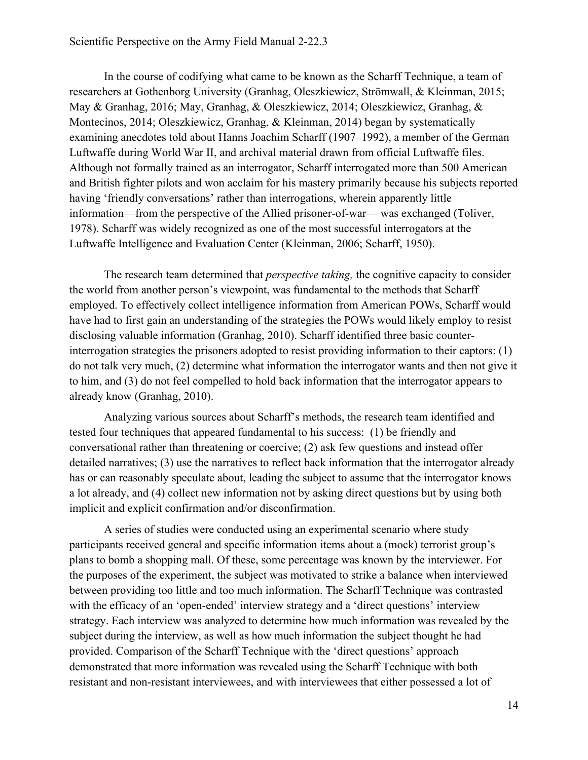In the course of codifying what came to be known as the Scharff Technique, a team of researchers at Gothenborg University (Granhag, Oleszkiewicz, Strömwall, & Kleinman, 2015; May & Granhag, 2016; May, Granhag, & Oleszkiewicz, 2014; Oleszkiewicz, Granhag, & Montecinos, 2014; Oleszkiewicz, Granhag, & Kleinman, 2014) began by systematically examining anecdotes told about Hanns Joachim Scharff (1907–1992), a member of the German Luftwaffe during World War II, and archival material drawn from official Luftwaffe files. Although not formally trained as an interrogator, Scharff interrogated more than 500 American and British fighter pilots and won acclaim for his mastery primarily because his subjects reported having 'friendly conversations' rather than interrogations, wherein apparently little information—from the perspective of the Allied prisoner-of-war— was exchanged (Toliver, 1978). Scharff was widely recognized as one of the most successful interrogators at the Luftwaffe Intelligence and Evaluation Center (Kleinman, 2006; Scharff, 1950).

The research team determined that *perspective taking,* the cognitive capacity to consider the world from another person's viewpoint, was fundamental to the methods that Scharff employed. To effectively collect intelligence information from American POWs, Scharff would have had to first gain an understanding of the strategies the POWs would likely employ to resist disclosing valuable information (Granhag, 2010). Scharff identified three basic counterinterrogation strategies the prisoners adopted to resist providing information to their captors: (1) do not talk very much, (2) determine what information the interrogator wants and then not give it to him, and (3) do not feel compelled to hold back information that the interrogator appears to already know (Granhag, 2010).

Analyzing various sources about Scharff's methods, the research team identified and tested four techniques that appeared fundamental to his success: (1) be friendly and conversational rather than threatening or coercive; (2) ask few questions and instead offer detailed narratives; (3) use the narratives to reflect back information that the interrogator already has or can reasonably speculate about, leading the subject to assume that the interrogator knows a lot already, and (4) collect new information not by asking direct questions but by using both implicit and explicit confirmation and/or disconfirmation.

A series of studies were conducted using an experimental scenario where study participants received general and specific information items about a (mock) terrorist group's plans to bomb a shopping mall. Of these, some percentage was known by the interviewer. For the purposes of the experiment, the subject was motivated to strike a balance when interviewed between providing too little and too much information. The Scharff Technique was contrasted with the efficacy of an 'open-ended' interview strategy and a 'direct questions' interview strategy. Each interview was analyzed to determine how much information was revealed by the subject during the interview, as well as how much information the subject thought he had provided. Comparison of the Scharff Technique with the 'direct questions' approach demonstrated that more information was revealed using the Scharff Technique with both resistant and non-resistant interviewees, and with interviewees that either possessed a lot of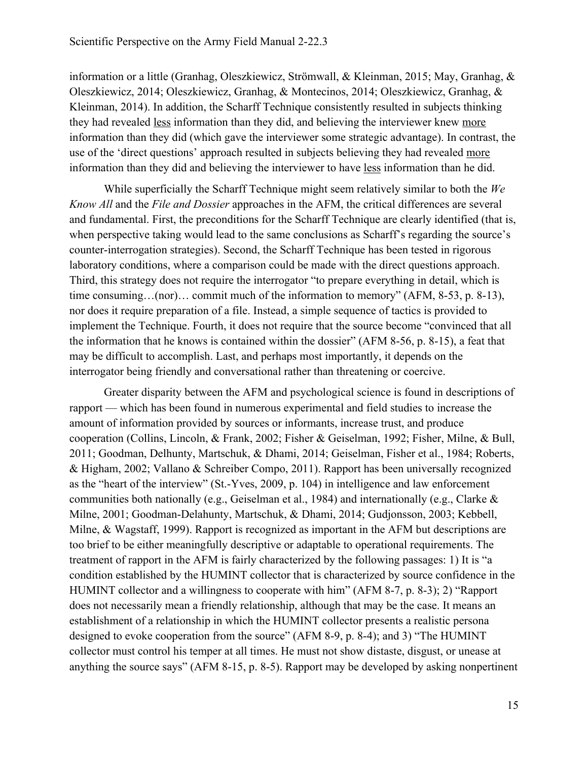information or a little (Granhag, Oleszkiewicz, Strömwall, & Kleinman, 2015; May, Granhag, & Oleszkiewicz, 2014; Oleszkiewicz, Granhag, & Montecinos, 2014; Oleszkiewicz, Granhag, & Kleinman, 2014). In addition, the Scharff Technique consistently resulted in subjects thinking they had revealed less information than they did, and believing the interviewer knew more information than they did (which gave the interviewer some strategic advantage). In contrast, the use of the 'direct questions' approach resulted in subjects believing they had revealed more information than they did and believing the interviewer to have less information than he did.

While superficially the Scharff Technique might seem relatively similar to both the *We Know All* and the *File and Dossier* approaches in the AFM, the critical differences are several and fundamental. First, the preconditions for the Scharff Technique are clearly identified (that is, when perspective taking would lead to the same conclusions as Scharff's regarding the source's counter-interrogation strategies). Second, the Scharff Technique has been tested in rigorous laboratory conditions, where a comparison could be made with the direct questions approach. Third, this strategy does not require the interrogator "to prepare everything in detail, which is time consuming…(nor)… commit much of the information to memory" (AFM, 8-53, p. 8-13), nor does it require preparation of a file. Instead, a simple sequence of tactics is provided to implement the Technique. Fourth, it does not require that the source become "convinced that all the information that he knows is contained within the dossier" (AFM 8-56, p. 8-15), a feat that may be difficult to accomplish. Last, and perhaps most importantly, it depends on the interrogator being friendly and conversational rather than threatening or coercive.

Greater disparity between the AFM and psychological science is found in descriptions of rapport — which has been found in numerous experimental and field studies to increase the amount of information provided by sources or informants, increase trust, and produce cooperation (Collins, Lincoln, & Frank, 2002; Fisher & Geiselman, 1992; Fisher, Milne, & Bull, 2011; Goodman, Delhunty, Martschuk, & Dhami, 2014; Geiselman, Fisher et al., 1984; Roberts, & Higham, 2002; Vallano & Schreiber Compo, 2011). Rapport has been universally recognized as the "heart of the interview" (St.-Yves, 2009, p. 104) in intelligence and law enforcement communities both nationally (e.g., Geiselman et al., 1984) and internationally (e.g., Clarke & Milne, 2001; Goodman-Delahunty, Martschuk, & Dhami, 2014; Gudjonsson, 2003; Kebbell, Milne, & Wagstaff, 1999). Rapport is recognized as important in the AFM but descriptions are too brief to be either meaningfully descriptive or adaptable to operational requirements. The treatment of rapport in the AFM is fairly characterized by the following passages: 1) It is "a condition established by the HUMINT collector that is characterized by source confidence in the HUMINT collector and a willingness to cooperate with him" (AFM 8-7, p. 8-3); 2) "Rapport does not necessarily mean a friendly relationship, although that may be the case. It means an establishment of a relationship in which the HUMINT collector presents a realistic persona designed to evoke cooperation from the source" (AFM 8-9, p. 8-4); and 3) "The HUMINT collector must control his temper at all times. He must not show distaste, disgust, or unease at anything the source says" (AFM 8-15, p. 8-5). Rapport may be developed by asking nonpertinent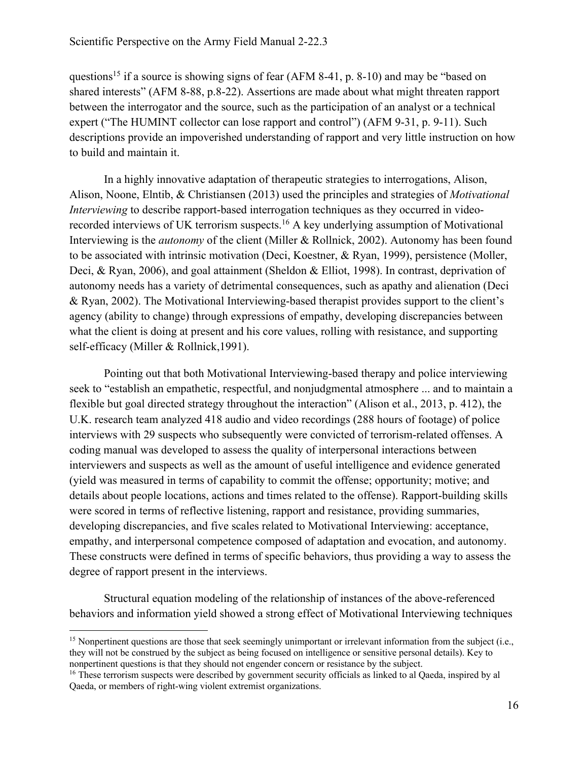questions<sup>15</sup> if a source is showing signs of fear (AFM 8-41, p. 8-10) and may be "based on shared interests" (AFM 8-88, p.8-22). Assertions are made about what might threaten rapport between the interrogator and the source, such as the participation of an analyst or a technical expert ("The HUMINT collector can lose rapport and control") (AFM 9-31, p. 9-11). Such descriptions provide an impoverished understanding of rapport and very little instruction on how to build and maintain it.

In a highly innovative adaptation of therapeutic strategies to interrogations, Alison, Alison, Noone, Elntib, & Christiansen (2013) used the principles and strategies of *Motivational Interviewing* to describe rapport-based interrogation techniques as they occurred in videorecorded interviews of UK terrorism suspects.16 A key underlying assumption of Motivational Interviewing is the *autonomy* of the client (Miller & Rollnick, 2002). Autonomy has been found to be associated with intrinsic motivation (Deci, Koestner, & Ryan, 1999), persistence (Moller, Deci, & Ryan, 2006), and goal attainment (Sheldon & Elliot, 1998). In contrast, deprivation of autonomy needs has a variety of detrimental consequences, such as apathy and alienation (Deci & Ryan, 2002). The Motivational Interviewing-based therapist provides support to the client's agency (ability to change) through expressions of empathy, developing discrepancies between what the client is doing at present and his core values, rolling with resistance, and supporting self-efficacy (Miller & Rollnick,1991).

Pointing out that both Motivational Interviewing-based therapy and police interviewing seek to "establish an empathetic, respectful, and nonjudgmental atmosphere ... and to maintain a flexible but goal directed strategy throughout the interaction" (Alison et al., 2013, p. 412), the U.K. research team analyzed 418 audio and video recordings (288 hours of footage) of police interviews with 29 suspects who subsequently were convicted of terrorism-related offenses. A coding manual was developed to assess the quality of interpersonal interactions between interviewers and suspects as well as the amount of useful intelligence and evidence generated (yield was measured in terms of capability to commit the offense; opportunity; motive; and details about people locations, actions and times related to the offense). Rapport-building skills were scored in terms of reflective listening, rapport and resistance, providing summaries, developing discrepancies, and five scales related to Motivational Interviewing: acceptance, empathy, and interpersonal competence composed of adaptation and evocation, and autonomy. These constructs were defined in terms of specific behaviors, thus providing a way to assess the degree of rapport present in the interviews.

Structural equation modeling of the relationship of instances of the above-referenced behaviors and information yield showed a strong effect of Motivational Interviewing techniques

<sup>&</sup>lt;sup>15</sup> Nonpertinent questions are those that seek seemingly unimportant or irrelevant information from the subject (i.e., they will not be construed by the subject as being focused on intelligence or sensitive personal details). Key to nonpertinent questions is that they should not engender concern or resistance by the subject.

<sup>&</sup>lt;sup>16</sup> These terrorism suspects were described by government security officials as linked to al Qaeda, inspired by al Qaeda, or members of right-wing violent extremist organizations.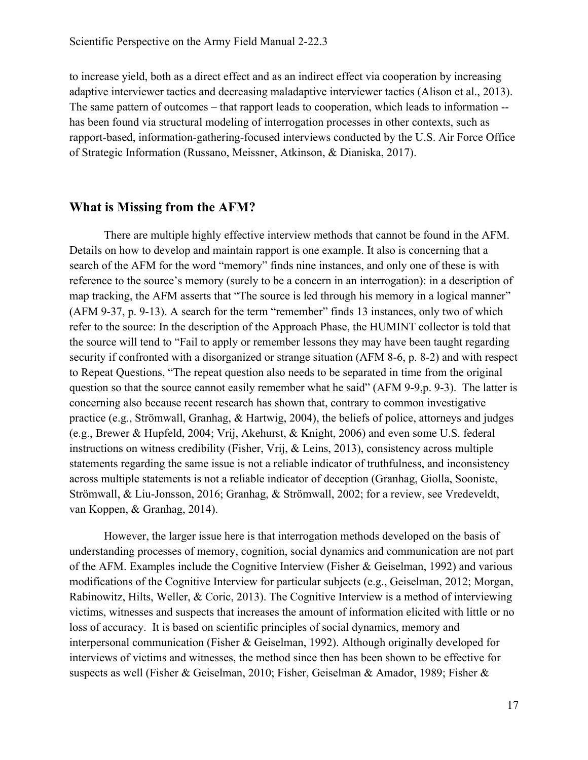to increase yield, both as a direct effect and as an indirect effect via cooperation by increasing adaptive interviewer tactics and decreasing maladaptive interviewer tactics (Alison et al., 2013). The same pattern of outcomes – that rapport leads to cooperation, which leads to information - has been found via structural modeling of interrogation processes in other contexts, such as rapport-based, information-gathering-focused interviews conducted by the U.S. Air Force Office of Strategic Information (Russano, Meissner, Atkinson, & Dianiska, 2017).

# **What is Missing from the AFM?**

There are multiple highly effective interview methods that cannot be found in the AFM. Details on how to develop and maintain rapport is one example. It also is concerning that a search of the AFM for the word "memory" finds nine instances, and only one of these is with reference to the source's memory (surely to be a concern in an interrogation): in a description of map tracking, the AFM asserts that "The source is led through his memory in a logical manner" (AFM 9-37, p. 9-13). A search for the term "remember" finds 13 instances, only two of which refer to the source: In the description of the Approach Phase, the HUMINT collector is told that the source will tend to "Fail to apply or remember lessons they may have been taught regarding security if confronted with a disorganized or strange situation (AFM 8-6, p. 8-2) and with respect to Repeat Questions, "The repeat question also needs to be separated in time from the original question so that the source cannot easily remember what he said" (AFM 9-9,p. 9-3). The latter is concerning also because recent research has shown that, contrary to common investigative practice (e.g., Strömwall, Granhag, & Hartwig, 2004), the beliefs of police, attorneys and judges (e.g., Brewer & Hupfeld, 2004; Vrij, Akehurst, & Knight, 2006) and even some U.S. federal instructions on witness credibility (Fisher, Vrij, & Leins, 2013), consistency across multiple statements regarding the same issue is not a reliable indicator of truthfulness, and inconsistency across multiple statements is not a reliable indicator of deception (Granhag, Giolla, Sooniste, Strömwall, & Liu-Jonsson, 2016; Granhag, & Strömwall, 2002; for a review, see Vredeveldt, van Koppen, & Granhag, 2014).

However, the larger issue here is that interrogation methods developed on the basis of understanding processes of memory, cognition, social dynamics and communication are not part of the AFM. Examples include the Cognitive Interview (Fisher & Geiselman, 1992) and various modifications of the Cognitive Interview for particular subjects (e.g., Geiselman, 2012; Morgan, Rabinowitz, Hilts, Weller, & Coric, 2013). The Cognitive Interview is a method of interviewing victims, witnesses and suspects that increases the amount of information elicited with little or no loss of accuracy. It is based on scientific principles of social dynamics, memory and interpersonal communication (Fisher & Geiselman, 1992). Although originally developed for interviews of victims and witnesses, the method since then has been shown to be effective for suspects as well (Fisher & Geiselman, 2010; Fisher, Geiselman & Amador, 1989; Fisher &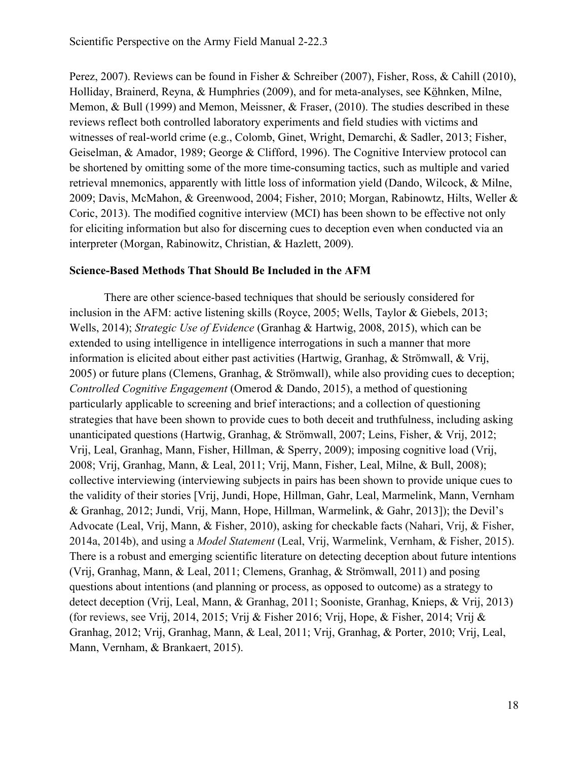Perez, 2007). Reviews can be found in Fisher & Schreiber (2007), Fisher, Ross, & Cahill (2010), Holliday, Brainerd, Reyna, & Humphries (2009), and for meta-analyses, see Köhnken, Milne, Memon, & Bull (1999) and Memon, Meissner, & Fraser, (2010). The studies described in these reviews reflect both controlled laboratory experiments and field studies with victims and witnesses of real-world crime (e.g., Colomb, Ginet, Wright, Demarchi, & Sadler, 2013; Fisher, Geiselman, & Amador, 1989; George & Clifford, 1996). The Cognitive Interview protocol can be shortened by omitting some of the more time-consuming tactics, such as multiple and varied retrieval mnemonics, apparently with little loss of information yield (Dando, Wilcock, & Milne, 2009; Davis, McMahon, & Greenwood, 2004; Fisher, 2010; Morgan, Rabinowtz, Hilts, Weller & Coric, 2013). The modified cognitive interview (MCI) has been shown to be effective not only for eliciting information but also for discerning cues to deception even when conducted via an interpreter (Morgan, Rabinowitz, Christian, & Hazlett, 2009).

### **Science-Based Methods That Should Be Included in the AFM**

There are other science-based techniques that should be seriously considered for inclusion in the AFM: active listening skills (Royce, 2005; Wells, Taylor & Giebels, 2013; Wells, 2014); *Strategic Use of Evidence* (Granhag & Hartwig, 2008, 2015), which can be extended to using intelligence in intelligence interrogations in such a manner that more information is elicited about either past activities (Hartwig, Granhag, & Strömwall, & Vrij, 2005) or future plans (Clemens, Granhag, & Strömwall), while also providing cues to deception; *Controlled Cognitive Engagement* (Omerod & Dando, 2015), a method of questioning particularly applicable to screening and brief interactions; and a collection of questioning strategies that have been shown to provide cues to both deceit and truthfulness, including asking unanticipated questions (Hartwig, Granhag, & Strömwall, 2007; Leins, Fisher, & Vrij, 2012; Vrij, Leal, Granhag, Mann, Fisher, Hillman, & Sperry, 2009); imposing cognitive load (Vrij, 2008; Vrij, Granhag, Mann, & Leal, 2011; Vrij, Mann, Fisher, Leal, Milne, & Bull, 2008); collective interviewing (interviewing subjects in pairs has been shown to provide unique cues to the validity of their stories [Vrij, Jundi, Hope, Hillman, Gahr, Leal, Marmelink, Mann, Vernham & Granhag, 2012; Jundi, Vrij, Mann, Hope, Hillman, Warmelink, & Gahr, 2013]); the Devil's Advocate (Leal, Vrij, Mann, & Fisher, 2010), asking for checkable facts (Nahari, Vrij, & Fisher, 2014a, 2014b), and using a *Model Statement* (Leal, Vrij, Warmelink, Vernham, & Fisher, 2015). There is a robust and emerging scientific literature on detecting deception about future intentions (Vrij, Granhag, Mann, & Leal, 2011; Clemens, Granhag, & Strömwall, 2011) and posing questions about intentions (and planning or process, as opposed to outcome) as a strategy to detect deception (Vrij, Leal, Mann, & Granhag, 2011; Sooniste, Granhag, Knieps, & Vrij, 2013) (for reviews, see Vrij, 2014, 2015; Vrij & Fisher 2016; Vrij, Hope, & Fisher, 2014; Vrij & Granhag, 2012; Vrij, Granhag, Mann, & Leal, 2011; Vrij, Granhag, & Porter, 2010; Vrij, Leal, Mann, Vernham, & Brankaert, 2015).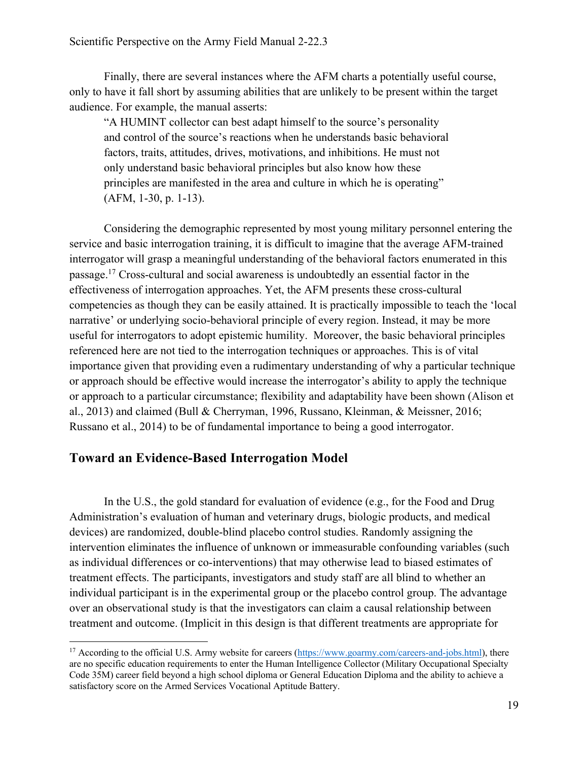Finally, there are several instances where the AFM charts a potentially useful course, only to have it fall short by assuming abilities that are unlikely to be present within the target audience. For example, the manual asserts:

"A HUMINT collector can best adapt himself to the source's personality and control of the source's reactions when he understands basic behavioral factors, traits, attitudes, drives, motivations, and inhibitions. He must not only understand basic behavioral principles but also know how these principles are manifested in the area and culture in which he is operating" (AFM, 1-30, p. 1-13).

Considering the demographic represented by most young military personnel entering the service and basic interrogation training, it is difficult to imagine that the average AFM-trained interrogator will grasp a meaningful understanding of the behavioral factors enumerated in this passage. <sup>17</sup> Cross-cultural and social awareness is undoubtedly an essential factor in the effectiveness of interrogation approaches. Yet, the AFM presents these cross-cultural competencies as though they can be easily attained. It is practically impossible to teach the 'local narrative' or underlying socio-behavioral principle of every region. Instead, it may be more useful for interrogators to adopt epistemic humility. Moreover, the basic behavioral principles referenced here are not tied to the interrogation techniques or approaches. This is of vital importance given that providing even a rudimentary understanding of why a particular technique or approach should be effective would increase the interrogator's ability to apply the technique or approach to a particular circumstance; flexibility and adaptability have been shown (Alison et al., 2013) and claimed (Bull & Cherryman, 1996, Russano, Kleinman, & Meissner, 2016; Russano et al., 2014) to be of fundamental importance to being a good interrogator.

# **Toward an Evidence-Based Interrogation Model**

In the U.S., the gold standard for evaluation of evidence (e.g., for the Food and Drug Administration's evaluation of human and veterinary drugs, biologic products, and medical devices) are randomized, double-blind placebo control studies. Randomly assigning the intervention eliminates the influence of unknown or immeasurable confounding variables (such as individual differences or co-interventions) that may otherwise lead to biased estimates of treatment effects. The participants, investigators and study staff are all blind to whether an individual participant is in the experimental group or the placebo control group. The advantage over an observational study is that the investigators can claim a causal relationship between treatment and outcome. (Implicit in this design is that different treatments are appropriate for

<sup>&</sup>lt;sup>17</sup> According to the official U.S. Army website for careers (https://www.goarmy.com/careers-and-jobs.html), there are no specific education requirements to enter the Human Intelligence Collector (Military Occupational Specialty Code 35M) career field beyond a high school diploma or General Education Diploma and the ability to achieve a satisfactory score on the Armed Services Vocational Aptitude Battery.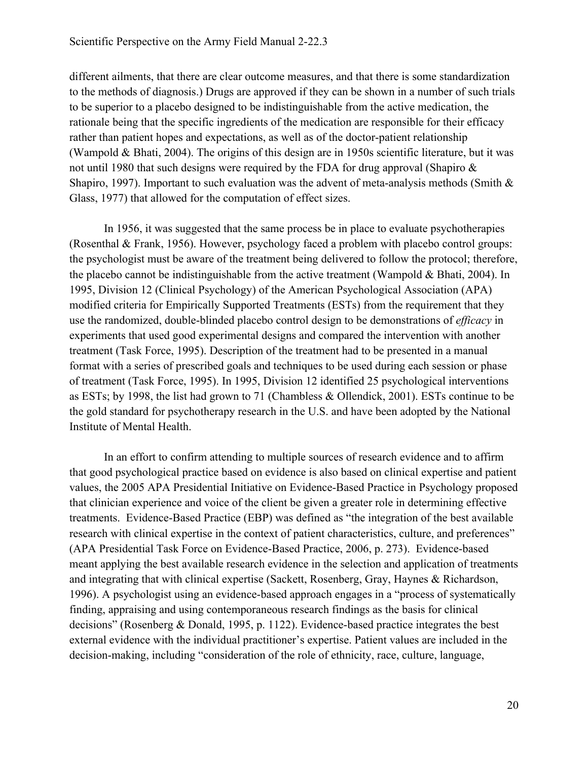different ailments, that there are clear outcome measures, and that there is some standardization to the methods of diagnosis.) Drugs are approved if they can be shown in a number of such trials to be superior to a placebo designed to be indistinguishable from the active medication, the rationale being that the specific ingredients of the medication are responsible for their efficacy rather than patient hopes and expectations, as well as of the doctor-patient relationship (Wampold & Bhati, 2004). The origins of this design are in 1950s scientific literature, but it was not until 1980 that such designs were required by the FDA for drug approval (Shapiro & Shapiro, 1997). Important to such evaluation was the advent of meta-analysis methods (Smith & Glass, 1977) that allowed for the computation of effect sizes.

In 1956, it was suggested that the same process be in place to evaluate psychotherapies (Rosenthal & Frank, 1956). However, psychology faced a problem with placebo control groups: the psychologist must be aware of the treatment being delivered to follow the protocol; therefore, the placebo cannot be indistinguishable from the active treatment (Wampold & Bhati, 2004). In 1995, Division 12 (Clinical Psychology) of the American Psychological Association (APA) modified criteria for Empirically Supported Treatments (ESTs) from the requirement that they use the randomized, double-blinded placebo control design to be demonstrations of *efficacy* in experiments that used good experimental designs and compared the intervention with another treatment (Task Force, 1995). Description of the treatment had to be presented in a manual format with a series of prescribed goals and techniques to be used during each session or phase of treatment (Task Force, 1995). In 1995, Division 12 identified 25 psychological interventions as ESTs; by 1998, the list had grown to 71 (Chambless & Ollendick, 2001). ESTs continue to be the gold standard for psychotherapy research in the U.S. and have been adopted by the National Institute of Mental Health.

In an effort to confirm attending to multiple sources of research evidence and to affirm that good psychological practice based on evidence is also based on clinical expertise and patient values, the 2005 APA Presidential Initiative on Evidence-Based Practice in Psychology proposed that clinician experience and voice of the client be given a greater role in determining effective treatments. Evidence-Based Practice (EBP) was defined as "the integration of the best available research with clinical expertise in the context of patient characteristics, culture, and preferences" (APA Presidential Task Force on Evidence-Based Practice, 2006, p. 273). Evidence-based meant applying the best available research evidence in the selection and application of treatments and integrating that with clinical expertise (Sackett, Rosenberg, Gray, Haynes & Richardson, 1996). A psychologist using an evidence-based approach engages in a "process of systematically finding, appraising and using contemporaneous research findings as the basis for clinical decisions" (Rosenberg & Donald, 1995, p. 1122). Evidence-based practice integrates the best external evidence with the individual practitioner's expertise. Patient values are included in the decision-making, including "consideration of the role of ethnicity, race, culture, language,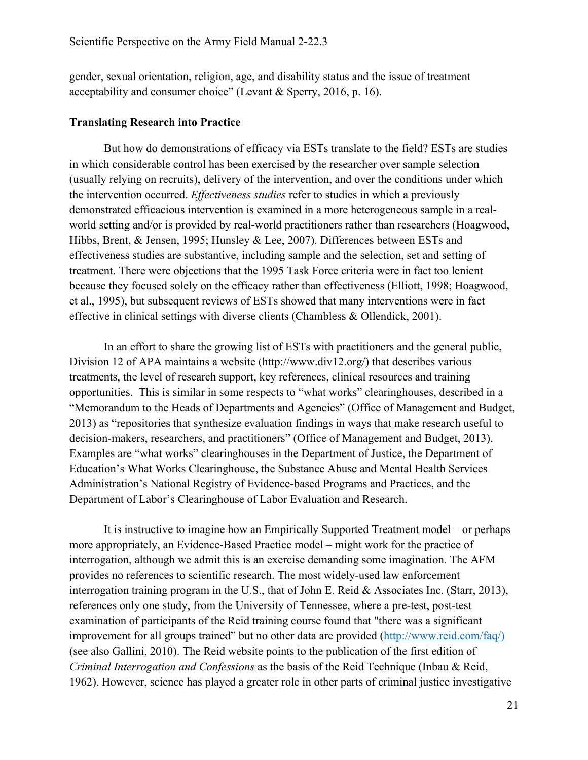gender, sexual orientation, religion, age, and disability status and the issue of treatment acceptability and consumer choice" (Levant & Sperry, 2016, p. 16).

#### **Translating Research into Practice**

But how do demonstrations of efficacy via ESTs translate to the field? ESTs are studies in which considerable control has been exercised by the researcher over sample selection (usually relying on recruits), delivery of the intervention, and over the conditions under which the intervention occurred. *Effectiveness studies* refer to studies in which a previously demonstrated efficacious intervention is examined in a more heterogeneous sample in a realworld setting and/or is provided by real-world practitioners rather than researchers (Hoagwood, Hibbs, Brent, & Jensen, 1995; Hunsley & Lee, 2007). Differences between ESTs and effectiveness studies are substantive, including sample and the selection, set and setting of treatment. There were objections that the 1995 Task Force criteria were in fact too lenient because they focused solely on the efficacy rather than effectiveness (Elliott, 1998; Hoagwood, et al., 1995), but subsequent reviews of ESTs showed that many interventions were in fact effective in clinical settings with diverse clients (Chambless & Ollendick, 2001).

In an effort to share the growing list of ESTs with practitioners and the general public, Division 12 of APA maintains a website (http://www.div12.org/) that describes various treatments, the level of research support, key references, clinical resources and training opportunities. This is similar in some respects to "what works" clearinghouses, described in a "Memorandum to the Heads of Departments and Agencies" (Office of Management and Budget, 2013) as "repositories that synthesize evaluation findings in ways that make research useful to decision-makers, researchers, and practitioners" (Office of Management and Budget, 2013). Examples are "what works" clearinghouses in the Department of Justice, the Department of Education's What Works Clearinghouse, the Substance Abuse and Mental Health Services Administration's National Registry of Evidence-based Programs and Practices, and the Department of Labor's Clearinghouse of Labor Evaluation and Research.

It is instructive to imagine how an Empirically Supported Treatment model – or perhaps more appropriately, an Evidence-Based Practice model – might work for the practice of interrogation, although we admit this is an exercise demanding some imagination. The AFM provides no references to scientific research. The most widely-used law enforcement interrogation training program in the U.S., that of John E. Reid & Associates Inc. (Starr, 2013), references only one study, from the University of Tennessee, where a pre-test, post-test examination of participants of the Reid training course found that "there was a significant improvement for all groups trained" but no other data are provided (http://www.reid.com/faq/) (see also Gallini, 2010). The Reid website points to the publication of the first edition of *Criminal Interrogation and Confessions* as the basis of the Reid Technique (Inbau & Reid, 1962). However, science has played a greater role in other parts of criminal justice investigative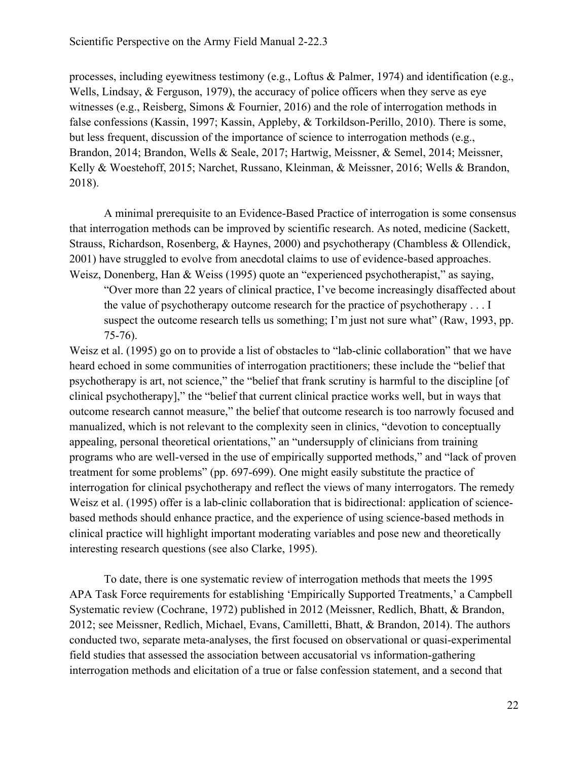processes, including eyewitness testimony (e.g., Loftus & Palmer, 1974) and identification (e.g., Wells, Lindsay, & Ferguson, 1979), the accuracy of police officers when they serve as eye witnesses (e.g., Reisberg, Simons & Fournier, 2016) and the role of interrogation methods in false confessions (Kassin, 1997; Kassin, Appleby, & Torkildson-Perillo, 2010). There is some, but less frequent, discussion of the importance of science to interrogation methods (e.g., Brandon, 2014; Brandon, Wells & Seale, 2017; Hartwig, Meissner, & Semel, 2014; Meissner, Kelly & Woestehoff, 2015; Narchet, Russano, Kleinman, & Meissner, 2016; Wells & Brandon, 2018).

A minimal prerequisite to an Evidence-Based Practice of interrogation is some consensus that interrogation methods can be improved by scientific research. As noted, medicine (Sackett, Strauss, Richardson, Rosenberg, & Haynes, 2000) and psychotherapy (Chambless & Ollendick, 2001) have struggled to evolve from anecdotal claims to use of evidence-based approaches. Weisz, Donenberg, Han & Weiss (1995) quote an "experienced psychotherapist," as saying,

"Over more than 22 years of clinical practice, I've become increasingly disaffected about the value of psychotherapy outcome research for the practice of psychotherapy . . . I suspect the outcome research tells us something; I'm just not sure what" (Raw, 1993, pp. 75-76).

Weisz et al. (1995) go on to provide a list of obstacles to "lab-clinic collaboration" that we have heard echoed in some communities of interrogation practitioners; these include the "belief that psychotherapy is art, not science," the "belief that frank scrutiny is harmful to the discipline [of clinical psychotherapy]," the "belief that current clinical practice works well, but in ways that outcome research cannot measure," the belief that outcome research is too narrowly focused and manualized, which is not relevant to the complexity seen in clinics, "devotion to conceptually appealing, personal theoretical orientations," an "undersupply of clinicians from training programs who are well-versed in the use of empirically supported methods," and "lack of proven treatment for some problems" (pp. 697-699). One might easily substitute the practice of interrogation for clinical psychotherapy and reflect the views of many interrogators. The remedy Weisz et al. (1995) offer is a lab-clinic collaboration that is bidirectional: application of sciencebased methods should enhance practice, and the experience of using science-based methods in clinical practice will highlight important moderating variables and pose new and theoretically interesting research questions (see also Clarke, 1995).

To date, there is one systematic review of interrogation methods that meets the 1995 APA Task Force requirements for establishing 'Empirically Supported Treatments,' a Campbell Systematic review (Cochrane, 1972) published in 2012 (Meissner, Redlich, Bhatt, & Brandon, 2012; see Meissner, Redlich, Michael, Evans, Camilletti, Bhatt, & Brandon, 2014). The authors conducted two, separate meta-analyses, the first focused on observational or quasi-experimental field studies that assessed the association between accusatorial vs information-gathering interrogation methods and elicitation of a true or false confession statement, and a second that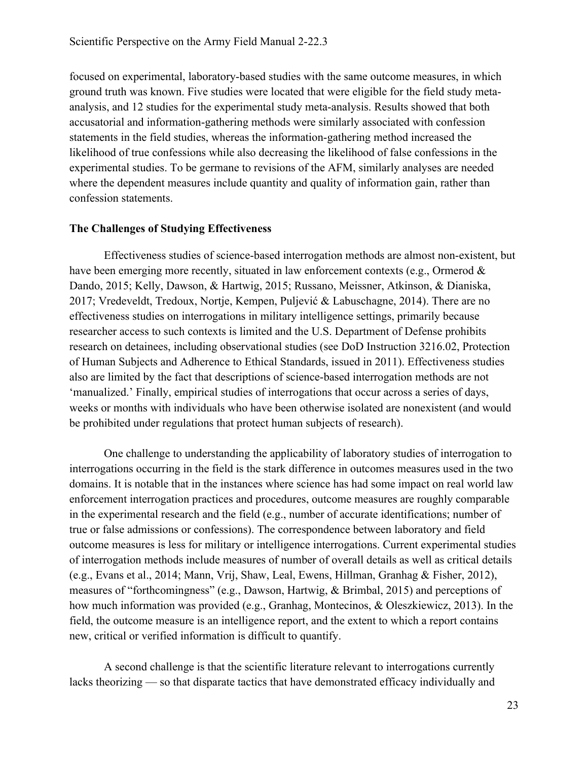focused on experimental, laboratory-based studies with the same outcome measures, in which ground truth was known. Five studies were located that were eligible for the field study metaanalysis, and 12 studies for the experimental study meta-analysis. Results showed that both accusatorial and information-gathering methods were similarly associated with confession statements in the field studies, whereas the information-gathering method increased the likelihood of true confessions while also decreasing the likelihood of false confessions in the experimental studies. To be germane to revisions of the AFM, similarly analyses are needed where the dependent measures include quantity and quality of information gain, rather than confession statements.

#### **The Challenges of Studying Effectiveness**

Effectiveness studies of science-based interrogation methods are almost non-existent, but have been emerging more recently, situated in law enforcement contexts (e.g., Ormerod & Dando, 2015; Kelly, Dawson, & Hartwig, 2015; Russano, Meissner, Atkinson, & Dianiska, 2017; Vredeveldt, Tredoux, Nortje, Kempen, Puljević & Labuschagne, 2014). There are no effectiveness studies on interrogations in military intelligence settings, primarily because researcher access to such contexts is limited and the U.S. Department of Defense prohibits research on detainees, including observational studies (see DoD Instruction 3216.02, Protection of Human Subjects and Adherence to Ethical Standards, issued in 2011). Effectiveness studies also are limited by the fact that descriptions of science-based interrogation methods are not 'manualized.' Finally, empirical studies of interrogations that occur across a series of days, weeks or months with individuals who have been otherwise isolated are nonexistent (and would be prohibited under regulations that protect human subjects of research).

One challenge to understanding the applicability of laboratory studies of interrogation to interrogations occurring in the field is the stark difference in outcomes measures used in the two domains. It is notable that in the instances where science has had some impact on real world law enforcement interrogation practices and procedures, outcome measures are roughly comparable in the experimental research and the field (e.g., number of accurate identifications; number of true or false admissions or confessions). The correspondence between laboratory and field outcome measures is less for military or intelligence interrogations. Current experimental studies of interrogation methods include measures of number of overall details as well as critical details (e.g., Evans et al., 2014; Mann, Vrij, Shaw, Leal, Ewens, Hillman, Granhag & Fisher, 2012), measures of "forthcomingness" (e.g., Dawson, Hartwig, & Brimbal, 2015) and perceptions of how much information was provided (e.g., Granhag, Montecinos, & Oleszkiewicz, 2013). In the field, the outcome measure is an intelligence report, and the extent to which a report contains new, critical or verified information is difficult to quantify.

A second challenge is that the scientific literature relevant to interrogations currently lacks theorizing — so that disparate tactics that have demonstrated efficacy individually and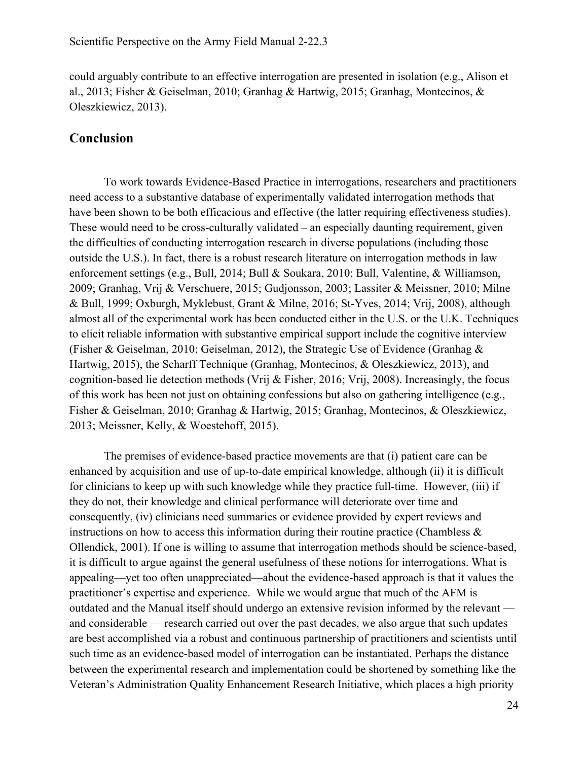could arguably contribute to an effective interrogation are presented in isolation (e.g., Alison et al., 2013; Fisher & Geiselman, 2010; Granhag & Hartwig, 2015; Granhag, Montecinos, & Oleszkiewicz, 2013).

## **Conclusion**

To work towards Evidence-Based Practice in interrogations, researchers and practitioners need access to a substantive database of experimentally validated interrogation methods that have been shown to be both efficacious and effective (the latter requiring effectiveness studies). These would need to be cross-culturally validated – an especially daunting requirement, given the difficulties of conducting interrogation research in diverse populations (including those outside the U.S.). In fact, there is a robust research literature on interrogation methods in law enforcement settings (e.g., Bull, 2014; Bull & Soukara, 2010; Bull, Valentine, & Williamson, 2009; Granhag, Vrij & Verschuere, 2015; Gudjonsson, 2003; Lassiter & Meissner, 2010; Milne & Bull, 1999; Oxburgh, Myklebust, Grant & Milne, 2016; St-Yves, 2014; Vrij, 2008), although almost all of the experimental work has been conducted either in the U.S. or the U.K. Techniques to elicit reliable information with substantive empirical support include the cognitive interview (Fisher & Geiselman, 2010; Geiselman, 2012), the Strategic Use of Evidence (Granhag & Hartwig, 2015), the Scharff Technique (Granhag, Montecinos, & Oleszkiewicz, 2013), and cognition-based lie detection methods (Vrij & Fisher, 2016; Vrij, 2008). Increasingly, the focus of this work has been not just on obtaining confessions but also on gathering intelligence (e.g., Fisher & Geiselman, 2010; Granhag & Hartwig, 2015; Granhag, Montecinos, & Oleszkiewicz, 2013; Meissner, Kelly, & Woestehoff, 2015).

The premises of evidence-based practice movements are that (i) patient care can be enhanced by acquisition and use of up-to-date empirical knowledge, although (ii) it is difficult for clinicians to keep up with such knowledge while they practice full-time. However, (iii) if they do not, their knowledge and clinical performance will deteriorate over time and consequently, (iv) clinicians need summaries or evidence provided by expert reviews and instructions on how to access this information during their routine practice (Chambless & Ollendick, 2001). If one is willing to assume that interrogation methods should be science-based, it is difficult to argue against the general usefulness of these notions for interrogations. What is appealing—yet too often unappreciated—about the evidence-based approach is that it values the practitioner's expertise and experience. While we would argue that much of the AFM is outdated and the Manual itself should undergo an extensive revision informed by the relevant and considerable — research carried out over the past decades, we also argue that such updates are best accomplished via a robust and continuous partnership of practitioners and scientists until such time as an evidence-based model of interrogation can be instantiated. Perhaps the distance between the experimental research and implementation could be shortened by something like the Veteran's Administration Quality Enhancement Research Initiative, which places a high priority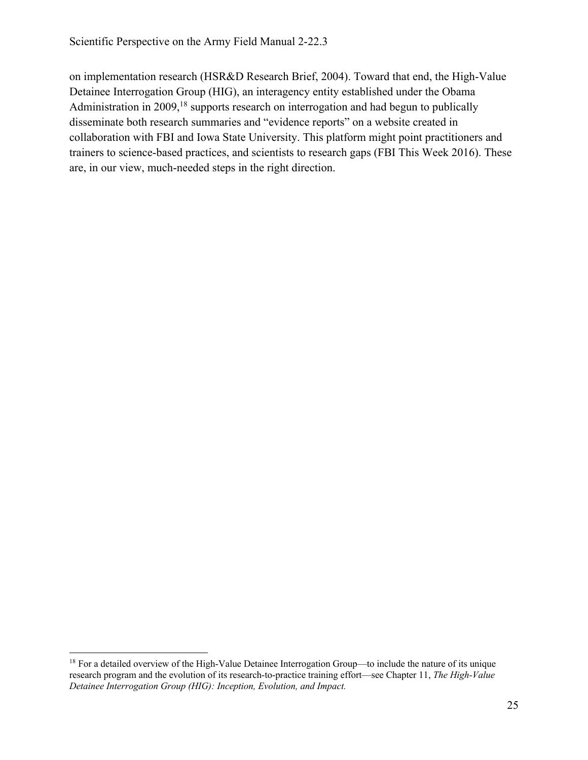on implementation research (HSR&D Research Brief, 2004). Toward that end, the High-Value Detainee Interrogation Group (HIG), an interagency entity established under the Obama Administration in 2009,<sup>18</sup> supports research on interrogation and had begun to publically disseminate both research summaries and "evidence reports" on a website created in collaboration with FBI and Iowa State University. This platform might point practitioners and trainers to science-based practices, and scientists to research gaps (FBI This Week 2016). These are, in our view, much-needed steps in the right direction.

<sup>&</sup>lt;sup>18</sup> For a detailed overview of the High-Value Detainee Interrogation Group—to include the nature of its unique research program and the evolution of its research-to-practice training effort—see Chapter 11, *The High-Value Detainee Interrogation Group (HIG): Inception, Evolution, and Impact.*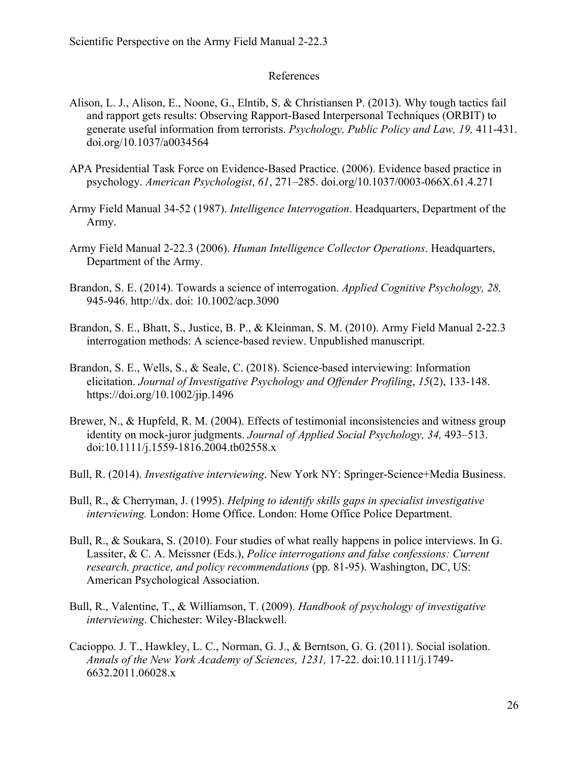### References

- Alison, L. J., Alison, E., Noone, G., Elntib, S. & Christiansen P. (2013). Why tough tactics fail and rapport gets results: Observing Rapport-Based Interpersonal Techniques (ORBIT) to generate useful information from terrorists. *Psychology, Public Policy and Law, 19,* 411-431. doi.org/10.1037/a0034564
- APA Presidential Task Force on Evidence-Based Practice. (2006). Evidence based practice in psychology. *American Psychologist*, *61*, 271–285. doi.org/10.1037/0003-066X.61.4.271
- Army Field Manual 34-52 (1987). *Intelligence Interrogation*. Headquarters, Department of the Army.
- Army Field Manual 2-22.3 (2006). *Human Intelligence Collector Operations*. Headquarters, Department of the Army.
- Brandon, S. E. (2014). Towards a science of interrogation. *Applied Cognitive Psychology, 28,* 945-946. http://dx. doi: 10.1002/acp.3090
- Brandon, S. E., Bhatt, S., Justice, B. P., & Kleinman, S. M. (2010). Army Field Manual 2-22.3 interrogation methods: A science-based review. Unpublished manuscript.
- Brandon, S. E., Wells, S., & Seale, C. (2018). Science-based interviewing: Information elicitation. *Journal of Investigative Psychology and Offender Profiling*, *15*(2), 133-148. https://doi.org/10.1002/jip.1496
- Brewer, N., & Hupfeld, R. M. (2004). Effects of testimonial inconsistencies and witness group identity on mock-juror judgments. *Journal of Applied Social Psychology, 34,* 493–513. doi:10.1111/j.1559-1816.2004.tb02558.x
- Bull, R. (2014). *Investigative interviewing*. New York NY: Springer-Science+Media Business.
- Bull, R., & Cherryman, J. (1995). *Helping to identify skills gaps in specialist investigative interviewing.* London: Home Office. London: Home Office Police Department.
- Bull, R., & Soukara, S. (2010). Four studies of what really happens in police interviews. In G. Lassiter, & C. A. Meissner (Eds.), *Police interrogations and false confessions: Current research, practice, and policy recommendations* (pp. 81-95). Washington, DC, US: American Psychological Association.
- Bull, R., Valentine, T., & Williamson, T. (2009). *Handbook of psychology of investigative interviewing*. Chichester: Wiley-Blackwell.
- Cacioppo. J. T., Hawkley, L. C., Norman, G. J., & Berntson, G. G. (2011). Social isolation. *Annals of the New York Academy of Sciences, 1231,* 17-22. doi:10.1111/j.1749- 6632.2011.06028.x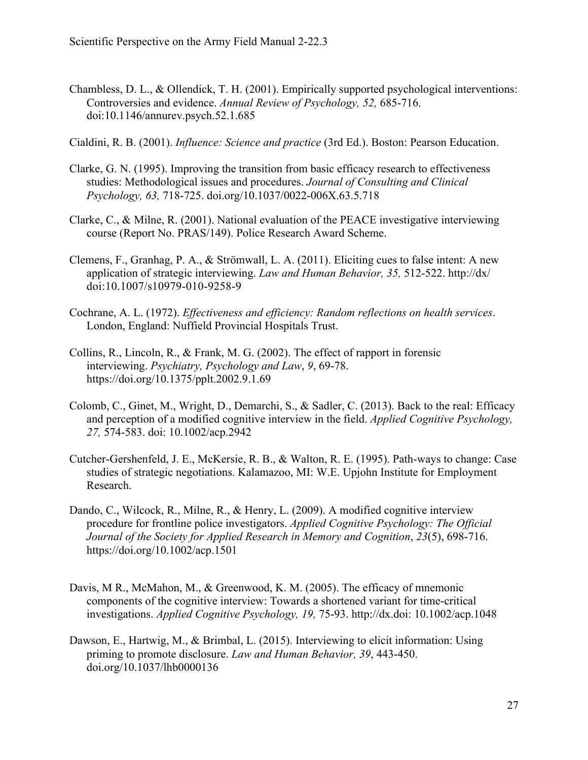- Chambless, D. L., & Ollendick, T. H. (2001). Empirically supported psychological interventions: Controversies and evidence. *Annual Review of Psychology, 52,* 685-716. doi:10.1146/annurev.psych.52.1.685
- Cialdini, R. B. (2001). *Influence: Science and practice* (3rd Ed.). Boston: Pearson Education.
- Clarke, G. N. (1995). Improving the transition from basic efficacy research to effectiveness studies: Methodological issues and procedures. *Journal of Consulting and Clinical Psychology, 63,* 718-725. doi.org/10.1037/0022-006X.63.5.718
- Clarke, C., & Milne, R. (2001). National evaluation of the PEACE investigative interviewing course (Report No. PRAS/149). Police Research Award Scheme.
- Clemens, F., Granhag, P. A., & Strömwall, L. A. (2011). Eliciting cues to false intent: A new application of strategic interviewing. *Law and Human Behavior, 35,* 512-522. http://dx/ doi:10.1007/s10979-010-9258-9
- Cochrane, A. L. (1972). *Effectiveness and efficiency: Random reflections on health services*. London, England: Nuffield Provincial Hospitals Trust.
- Collins, R., Lincoln, R., & Frank, M. G. (2002). The effect of rapport in forensic interviewing. *Psychiatry, Psychology and Law*, *9*, 69-78. https://doi.org/10.1375/pplt.2002.9.1.69
- Colomb, C., Ginet, M., Wright, D., Demarchi, S., & Sadler, C. (2013). Back to the real: Efficacy and perception of a modified cognitive interview in the field. *Applied Cognitive Psychology, 27,* 574-583. doi: 10.1002/acp.2942
- Cutcher-Gershenfeld, J. E., McKersie, R. B., & Walton, R. E. (1995). Path-ways to change: Case studies of strategic negotiations. Kalamazoo, MI: W.E. Upjohn Institute for Employment Research.
- Dando, C., Wilcock, R., Milne, R., & Henry, L. (2009). A modified cognitive interview procedure for frontline police investigators. *Applied Cognitive Psychology: The Official Journal of the Society for Applied Research in Memory and Cognition*, *23*(5), 698-716. https://doi.org/10.1002/acp.1501
- Davis, M R., McMahon, M., & Greenwood, K. M. (2005). The efficacy of mnemonic components of the cognitive interview: Towards a shortened variant for time-critical investigations. *Applied Cognitive Psychology, 19,* 75-93. http://dx.doi: 10.1002/acp.1048
- Dawson, E., Hartwig, M., & Brimbal, L. (2015). Interviewing to elicit information: Using priming to promote disclosure. *Law and Human Behavior, 39*, 443-450. doi.org/10.1037/lhb0000136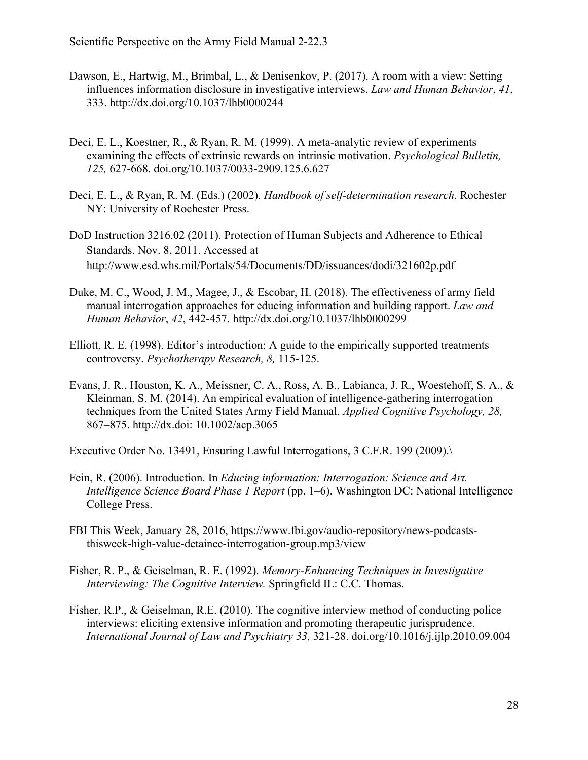- Dawson, E., Hartwig, M., Brimbal, L., & Denisenkov, P. (2017). A room with a view: Setting influences information disclosure in investigative interviews. *Law and Human Behavior*, *41*, 333. http://dx.doi.org/10.1037/lhb0000244
- Deci, E. L., Koestner, R., & Ryan, R. M. (1999). A meta-analytic review of experiments examining the effects of extrinsic rewards on intrinsic motivation. *Psychological Bulletin, 125,* 627-668. doi.org/10.1037/0033-2909.125.6.627
- Deci, E. L., & Ryan, R. M. (Eds.) (2002). *Handbook of self-determination research*. Rochester NY: University of Rochester Press.
- DoD Instruction 3216.02 (2011). Protection of Human Subjects and Adherence to Ethical Standards. Nov. 8, 2011. Accessed at http://www.esd.whs.mil/Portals/54/Documents/DD/issuances/dodi/321602p.pdf
- Duke, M. C., Wood, J. M., Magee, J., & Escobar, H. (2018). The effectiveness of army field manual interrogation approaches for educing information and building rapport. *Law and Human Behavior*, *42*, 442-457. http://dx.doi.org/10.1037/lhb0000299
- Elliott, R. E. (1998). Editor's introduction: A guide to the empirically supported treatments controversy. *Psychotherapy Research, 8,* 115-125.
- Evans, J. R., Houston, K. A., Meissner, C. A., Ross, A. B., Labianca, J. R., Woestehoff, S. A., & Kleinman, S. M. (2014). An empirical evaluation of intelligence-gathering interrogation techniques from the United States Army Field Manual. *Applied Cognitive Psychology, 28,* 867–875. http://dx.doi: 10.1002/acp.3065

Executive Order No. 13491, Ensuring Lawful Interrogations, 3 C.F.R. 199 (2009).\

- Fein, R. (2006). Introduction. In *Educing information: Interrogation: Science and Art. Intelligence Science Board Phase 1 Report* (pp. 1–6). Washington DC: National Intelligence College Press.
- FBI This Week, January 28, 2016, https://www.fbi.gov/audio-repository/news-podcaststhisweek-high-value-detainee-interrogation-group.mp3/view
- Fisher, R. P., & Geiselman, R. E. (1992). *Memory-Enhancing Techniques in Investigative Interviewing: The Cognitive Interview.* Springfield IL: C.C. Thomas.
- Fisher, R.P., & Geiselman, R.E. (2010). The cognitive interview method of conducting police interviews: eliciting extensive information and promoting therapeutic jurisprudence. *International Journal of Law and Psychiatry 33,* 321-28. doi.org/10.1016/j.ijlp.2010.09.004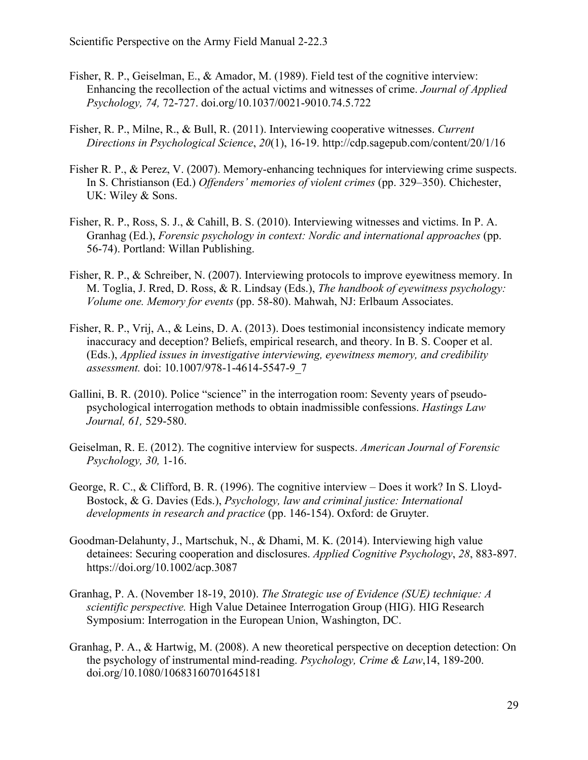- Fisher, R. P., Geiselman, E., & Amador, M. (1989). Field test of the cognitive interview: Enhancing the recollection of the actual victims and witnesses of crime. *Journal of Applied Psychology, 74,* 72-727. doi.org/10.1037/0021-9010.74.5.722
- Fisher, R. P., Milne, R., & Bull, R. (2011). Interviewing cooperative witnesses. *Current Directions in Psychological Science*, *20*(1), 16-19. http://cdp.sagepub.com/content/20/1/16
- Fisher R. P., & Perez, V. (2007). Memory-enhancing techniques for interviewing crime suspects. In S. Christianson (Ed.) *Offenders' memories of violent crimes* (pp. 329–350). Chichester, UK: Wiley & Sons.
- Fisher, R. P., Ross, S. J., & Cahill, B. S. (2010). Interviewing witnesses and victims. In P. A. Granhag (Ed.), *Forensic psychology in context: Nordic and international approaches* (pp. 56-74). Portland: Willan Publishing.
- Fisher, R. P., & Schreiber, N. (2007). Interviewing protocols to improve eyewitness memory. In M. Toglia, J. Rred, D. Ross, & R. Lindsay (Eds.), *The handbook of eyewitness psychology: Volume one. Memory for events* (pp. 58-80). Mahwah, NJ: Erlbaum Associates.
- Fisher, R. P., Vrij, A., & Leins, D. A. (2013). Does testimonial inconsistency indicate memory inaccuracy and deception? Beliefs, empirical research, and theory. In B. S. Cooper et al. (Eds.), *Applied issues in investigative interviewing, eyewitness memory, and credibility assessment.* doi: 10.1007/978-1-4614-5547-9\_7
- Gallini, B. R. (2010). Police "science" in the interrogation room: Seventy years of pseudopsychological interrogation methods to obtain inadmissible confessions. *Hastings Law Journal, 61,* 529-580.
- Geiselman, R. E. (2012). The cognitive interview for suspects. *American Journal of Forensic Psychology, 30,* 1-16.
- George, R. C., & Clifford, B. R. (1996). The cognitive interview Does it work? In S. Lloyd-Bostock, & G. Davies (Eds.), *Psychology, law and criminal justice: International developments in research and practice* (pp. 146-154). Oxford: de Gruyter.
- Goodman-Delahunty, J., Martschuk, N., & Dhami, M. K. (2014). Interviewing high value detainees: Securing cooperation and disclosures. *Applied Cognitive Psychology*, *28*, 883-897. https://doi.org/10.1002/acp.3087
- Granhag, P. A. (November 18-19, 2010). *The Strategic use of Evidence (SUE) technique: A scientific perspective.* High Value Detainee Interrogation Group (HIG). HIG Research Symposium: Interrogation in the European Union, Washington, DC.
- Granhag, P. A., & Hartwig, M. (2008). A new theoretical perspective on deception detection: On the psychology of instrumental mind-reading. *Psychology, Crime & Law*,14, 189-200. doi.org/10.1080/10683160701645181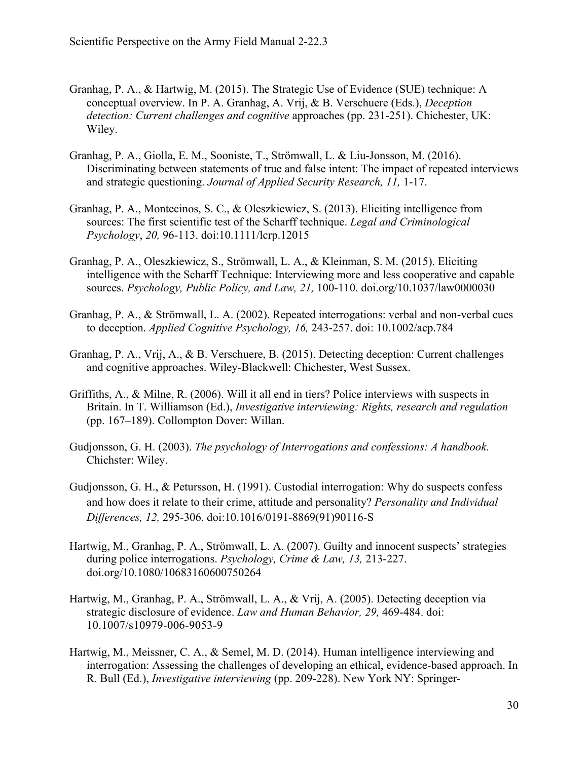- Granhag, P. A., & Hartwig, M. (2015). The Strategic Use of Evidence (SUE) technique: A conceptual overview. In P. A. Granhag, A. Vrij, & B. Verschuere (Eds.), *Deception detection: Current challenges and cognitive* approaches (pp. 231-251). Chichester, UK: Wiley.
- Granhag, P. A., Giolla, E. M., Sooniste, T., Strömwall, L. & Liu-Jonsson, M. (2016). Discriminating between statements of true and false intent: The impact of repeated interviews and strategic questioning. *Journal of Applied Security Research, 11,* 1-17.
- Granhag, P. A., Montecinos, S. C., & Oleszkiewicz, S. (2013). Eliciting intelligence from sources: The first scientific test of the Scharff technique. *Legal and Criminological Psychology*, *20,* 96-113. doi:10.1111/lcrp.12015
- Granhag, P. A., Oleszkiewicz, S., Strömwall, L. A., & Kleinman, S. M. (2015). Eliciting intelligence with the Scharff Technique: Interviewing more and less cooperative and capable sources. *Psychology, Public Policy, and Law, 21,* 100-110. doi.org/10.1037/law0000030
- Granhag, P. A., & Strömwall, L. A. (2002). Repeated interrogations: verbal and non-verbal cues to deception. *Applied Cognitive Psychology, 16,* 243-257. doi: 10.1002/acp.784
- Granhag, P. A., Vrij, A., & B. Verschuere, B. (2015). Detecting deception: Current challenges and cognitive approaches. Wiley-Blackwell: Chichester, West Sussex.
- Griffiths, A., & Milne, R. (2006). Will it all end in tiers? Police interviews with suspects in Britain. In T. Williamson (Ed.), *Investigative interviewing: Rights, research and regulation* (pp. 167–189). Collompton Dover: Willan.
- Gudjonsson, G. H. (2003). *The psychology of Interrogations and confessions: A handbook*. Chichster: Wiley.
- Gudjonsson, G. H., & Petursson, H. (1991). Custodial interrogation: Why do suspects confess and how does it relate to their crime, attitude and personality? *Personality and Individual Differences, 12,* 295-306. doi:10.1016/0191-8869(91)90116-S
- Hartwig, M., Granhag, P. A., Strömwall, L. A. (2007). Guilty and innocent suspects' strategies during police interrogations. *Psychology, Crime & Law, 13,* 213-227. doi.org/10.1080/10683160600750264
- Hartwig, M., Granhag, P. A., Strömwall, L. A., & Vrij, A. (2005). Detecting deception via strategic disclosure of evidence. *Law and Human Behavior, 29,* 469-484. doi: 10.1007/s10979-006-9053-9
- Hartwig, M., Meissner, C. A., & Semel, M. D. (2014). Human intelligence interviewing and interrogation: Assessing the challenges of developing an ethical, evidence-based approach. In R. Bull (Ed.), *Investigative interviewing* (pp. 209-228). New York NY: Springer-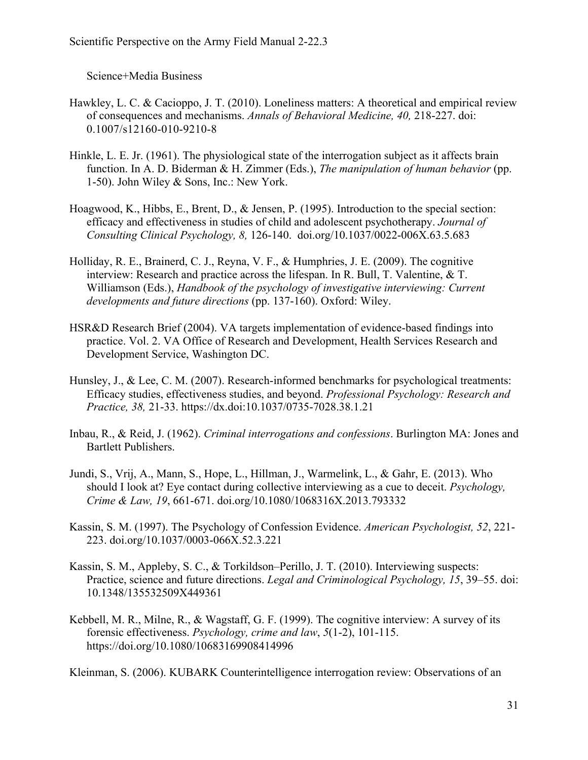Science+Media Business

- Hawkley, L. C. & Cacioppo, J. T. (2010). Loneliness matters: A theoretical and empirical review of consequences and mechanisms. *Annals of Behavioral Medicine, 40,* 218-227. doi: 0.1007/s12160-010-9210-8
- Hinkle, L. E. Jr. (1961). The physiological state of the interrogation subject as it affects brain function. In A. D. Biderman & H. Zimmer (Eds.), *The manipulation of human behavior* (pp. 1-50). John Wiley & Sons, Inc.: New York.
- Hoagwood, K., Hibbs, E., Brent, D., & Jensen, P. (1995). Introduction to the special section: efficacy and effectiveness in studies of child and adolescent psychotherapy. *Journal of Consulting Clinical Psychology, 8,* 126-140. doi.org/10.1037/0022-006X.63.5.683
- Holliday, R. E., Brainerd, C. J., Reyna, V. F., & Humphries, J. E. (2009). The cognitive interview: Research and practice across the lifespan. In R. Bull, T. Valentine, & T. Williamson (Eds.), *Handbook of the psychology of investigative interviewing: Current developments and future directions* (pp. 137-160). Oxford: Wiley.
- HSR&D Research Brief (2004). VA targets implementation of evidence-based findings into practice. Vol. 2. VA Office of Research and Development, Health Services Research and Development Service, Washington DC.
- Hunsley, J., & Lee, C. M. (2007). Research-informed benchmarks for psychological treatments: Efficacy studies, effectiveness studies, and beyond. *Professional Psychology: Research and Practice, 38,* 21-33. https://dx.doi:10.1037/0735-7028.38.1.21
- Inbau, R., & Reid, J. (1962). *Criminal interrogations and confessions*. Burlington MA: Jones and Bartlett Publishers.
- Jundi, S., Vrij, A., Mann, S., Hope, L., Hillman, J., Warmelink, L., & Gahr, E. (2013). Who should I look at? Eye contact during collective interviewing as a cue to deceit. *Psychology, Crime & Law, 19*, 661-671. doi.org/10.1080/1068316X.2013.793332
- Kassin, S. M. (1997). The Psychology of Confession Evidence. *American Psychologist, 52*, 221- 223. doi.org/10.1037/0003-066X.52.3.221
- Kassin, S. M., Appleby, S. C., & Torkildson–Perillo, J. T. (2010). Interviewing suspects: Practice, science and future directions. *Legal and Criminological Psychology, 15*, 39–55. doi: 10.1348/135532509X449361
- Kebbell, M. R., Milne, R., & Wagstaff, G. F. (1999). The cognitive interview: A survey of its forensic effectiveness. *Psychology, crime and law*, *5*(1-2), 101-115. https://doi.org/10.1080/10683169908414996

Kleinman, S. (2006). KUBARK Counterintelligence interrogation review: Observations of an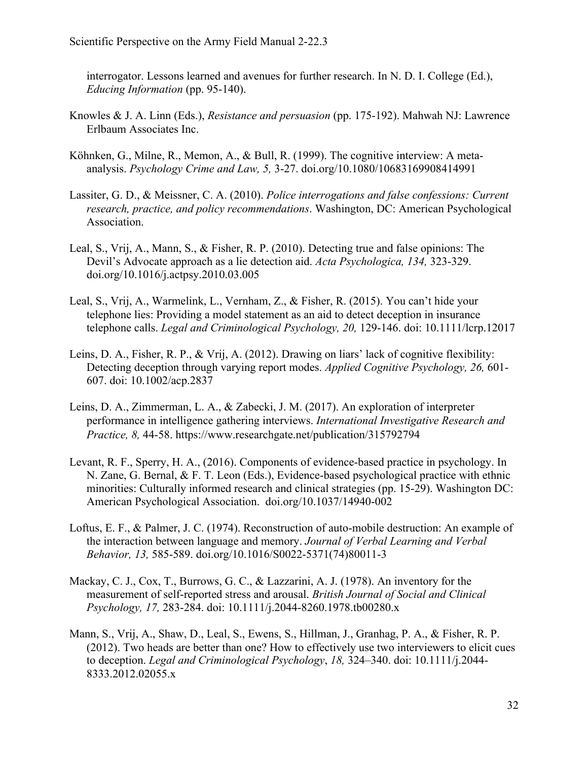interrogator. Lessons learned and avenues for further research. In N. D. I. College (Ed.), *Educing Information* (pp. 95-140).

- Knowles & J. A. Linn (Eds.), *Resistance and persuasion* (pp. 175-192). Mahwah NJ: Lawrence Erlbaum Associates Inc.
- Köhnken, G., Milne, R., Memon, A., & Bull, R. (1999). The cognitive interview: A metaanalysis. *Psychology Crime and Law, 5,* 3-27. doi.org/10.1080/10683169908414991
- Lassiter, G. D., & Meissner, C. A. (2010). *Police interrogations and false confessions: Current research, practice, and policy recommendations*. Washington, DC: American Psychological Association.
- Leal, S., Vrij, A., Mann, S., & Fisher, R. P. (2010). Detecting true and false opinions: The Devil's Advocate approach as a lie detection aid. *Acta Psychologica, 134,* 323-329. doi.org/10.1016/j.actpsy.2010.03.005
- Leal, S., Vrij, A., Warmelink, L., Vernham, Z., & Fisher, R. (2015). You can't hide your telephone lies: Providing a model statement as an aid to detect deception in insurance telephone calls. *Legal and Criminological Psychology, 20,* 129-146. doi: 10.1111/lcrp.12017
- Leins, D. A., Fisher, R. P., & Vrij, A. (2012). Drawing on liars' lack of cognitive flexibility: Detecting deception through varying report modes. *Applied Cognitive Psychology, 26,* 601- 607. doi: 10.1002/acp.2837
- Leins, D. A., Zimmerman, L. A., & Zabecki, J. M. (2017). An exploration of interpreter performance in intelligence gathering interviews. *International Investigative Research and Practice, 8,* 44-58. https://www.researchgate.net/publication/315792794
- Levant, R. F., Sperry, H. A., (2016). Components of evidence-based practice in psychology. In N. Zane, G. Bernal, & F. T. Leon (Eds.), Evidence-based psychological practice with ethnic minorities: Culturally informed research and clinical strategies (pp. 15-29). Washington DC: American Psychological Association. doi.org/10.1037/14940-002
- Loftus, E. F., & Palmer, J. C. (1974). Reconstruction of auto-mobile destruction: An example of the interaction between language and memory. *Journal of Verbal Learning and Verbal Behavior, 13,* 585-589. doi.org/10.1016/S0022-5371(74)80011-3
- Mackay, C. J., Cox, T., Burrows, G. C., & Lazzarini, A. J. (1978). An inventory for the measurement of self-reported stress and arousal. *British Journal of Social and Clinical Psychology, 17,* 283-284. doi: 10.1111/j.2044-8260.1978.tb00280.x
- Mann, S., Vrij, A., Shaw, D., Leal, S., Ewens, S., Hillman, J., Granhag, P. A., & Fisher, R. P. (2012). Two heads are better than one? How to effectively use two interviewers to elicit cues to deception. *Legal and Criminological Psychology*, *18,* 324–340. doi: 10.1111/j.2044- 8333.2012.02055.x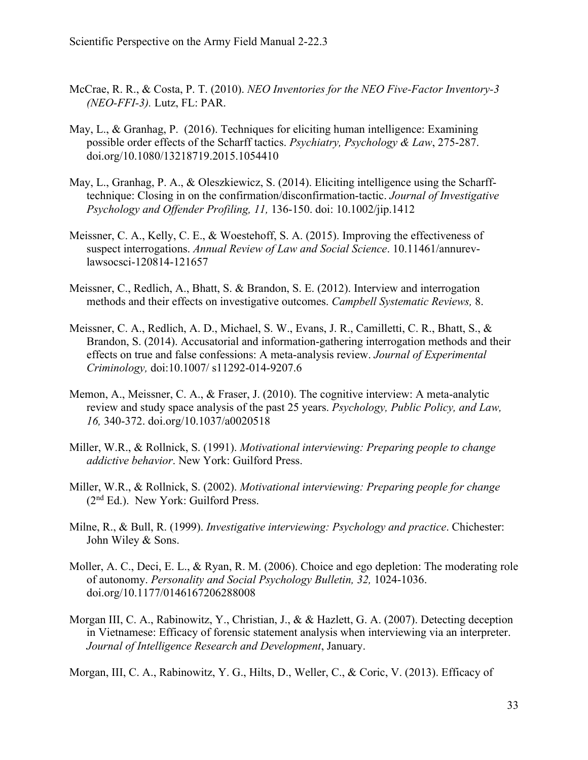- McCrae, R. R., & Costa, P. T. (2010). *NEO Inventories for the NEO Five-Factor Inventory-3 (NEO-FFI-3).* Lutz, FL: PAR.
- May, L., & Granhag, P. (2016). Techniques for eliciting human intelligence: Examining possible order effects of the Scharff tactics. *Psychiatry, Psychology & Law*, 275-287. doi.org/10.1080/13218719.2015.1054410
- May, L., Granhag, P. A., & Oleszkiewicz, S. (2014). Eliciting intelligence using the Scharfftechnique: Closing in on the confirmation/disconfirmation-tactic. *Journal of Investigative Psychology and Offender Profiling, 11,* 136-150. doi: 10.1002/jip.1412
- Meissner, C. A., Kelly, C. E., & Woestehoff, S. A. (2015). Improving the effectiveness of suspect interrogations. *Annual Review of Law and Social Science*. 10.11461/annurevlawsocsci-120814-121657
- Meissner, C., Redlich, A., Bhatt, S. & Brandon, S. E. (2012). Interview and interrogation methods and their effects on investigative outcomes. *Campbell Systematic Reviews,* 8.
- Meissner, C. A., Redlich, A. D., Michael, S. W., Evans, J. R., Camilletti, C. R., Bhatt, S., & Brandon, S. (2014). Accusatorial and information-gathering interrogation methods and their effects on true and false confessions: A meta-analysis review. *Journal of Experimental Criminology,* doi:10.1007/ s11292-014-9207.6
- Memon, A., Meissner, C. A., & Fraser, J. (2010). The cognitive interview: A meta-analytic review and study space analysis of the past 25 years. *Psychology, Public Policy, and Law, 16,* 340-372. doi.org/10.1037/a0020518
- Miller, W.R., & Rollnick, S. (1991). *Motivational interviewing: Preparing people to change addictive behavior*. New York: Guilford Press.
- Miller, W.R., & Rollnick, S. (2002). *Motivational interviewing: Preparing people for change*  $(2<sup>nd</sup> Ed.)$ . New York: Guilford Press.
- Milne, R., & Bull, R. (1999). *Investigative interviewing: Psychology and practice*. Chichester: John Wiley & Sons.
- Moller, A. C., Deci, E. L., & Ryan, R. M. (2006). Choice and ego depletion: The moderating role of autonomy. *Personality and Social Psychology Bulletin, 32,* 1024-1036. doi.org/10.1177/0146167206288008
- Morgan III, C. A., Rabinowitz, Y., Christian, J., & & Hazlett, G. A. (2007). Detecting deception in Vietnamese: Efficacy of forensic statement analysis when interviewing via an interpreter. *Journal of Intelligence Research and Development*, January.

Morgan, III, C. A., Rabinowitz, Y. G., Hilts, D., Weller, C., & Coric, V. (2013). Efficacy of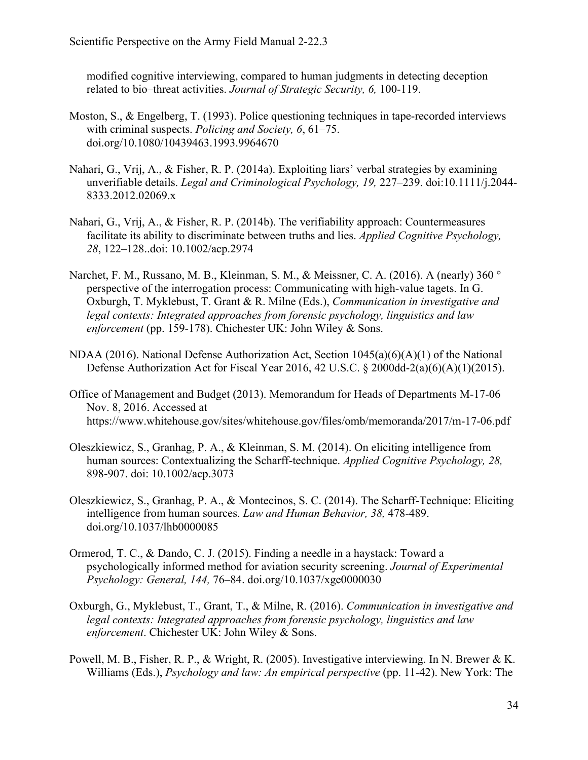modified cognitive interviewing, compared to human judgments in detecting deception related to bio–threat activities. *Journal of Strategic Security, 6,* 100-119.

- Moston, S., & Engelberg, T. (1993). Police questioning techniques in tape-recorded interviews with criminal suspects. *Policing and Society, 6*, 61–75. doi.org/10.1080/10439463.1993.9964670
- Nahari, G., Vrij, A., & Fisher, R. P. (2014a). Exploiting liars' verbal strategies by examining unverifiable details. *Legal and Criminological Psychology, 19,* 227–239. doi:10.1111/j.2044- 8333.2012.02069.x
- Nahari, G., Vrij, A., & Fisher, R. P. (2014b). The verifiability approach: Countermeasures facilitate its ability to discriminate between truths and lies. *Applied Cognitive Psychology, 28*, 122–128..doi: 10.1002/acp.2974
- Narchet, F. M., Russano, M. B., Kleinman, S. M., & Meissner, C. A. (2016). A (nearly) 360 ° perspective of the interrogation process: Communicating with high-value tagets. In G. Oxburgh, T. Myklebust, T. Grant & R. Milne (Eds.), *Communication in investigative and legal contexts: Integrated approaches from forensic psychology, linguistics and law enforcement* (pp. 159-178). Chichester UK: John Wiley & Sons.
- NDAA (2016). National Defense Authorization Act, Section 1045(a)(6)(A)(1) of the National Defense Authorization Act for Fiscal Year 2016, 42 U.S.C. § 2000dd-2(a)(6)(A)(1)(2015).
- Office of Management and Budget (2013). Memorandum for Heads of Departments M-17-06 Nov. 8, 2016. Accessed at https://www.whitehouse.gov/sites/whitehouse.gov/files/omb/memoranda/2017/m-17-06.pdf
- Oleszkiewicz, S., Granhag, P. A., & Kleinman, S. M. (2014). On eliciting intelligence from human sources: Contextualizing the Scharff-technique. *Applied Cognitive Psychology, 28,* 898-907. doi: 10.1002/acp.3073
- Oleszkiewicz, S., Granhag, P. A., & Montecinos, S. C. (2014). The Scharff-Technique: Eliciting intelligence from human sources. *Law and Human Behavior, 38,* 478-489. doi.org/10.1037/lhb0000085
- Ormerod, T. C., & Dando, C. J. (2015). Finding a needle in a haystack: Toward a psychologically informed method for aviation security screening. *Journal of Experimental Psychology: General, 144,* 76–84. doi.org/10.1037/xge0000030
- Oxburgh, G., Myklebust, T., Grant, T., & Milne, R. (2016). *Communication in investigative and legal contexts: Integrated approaches from forensic psychology, linguistics and law enforcement*. Chichester UK: John Wiley & Sons.
- Powell, M. B., Fisher, R. P., & Wright, R. (2005). Investigative interviewing. In N. Brewer & K. Williams (Eds.), *Psychology and law: An empirical perspective* (pp. 11-42). New York: The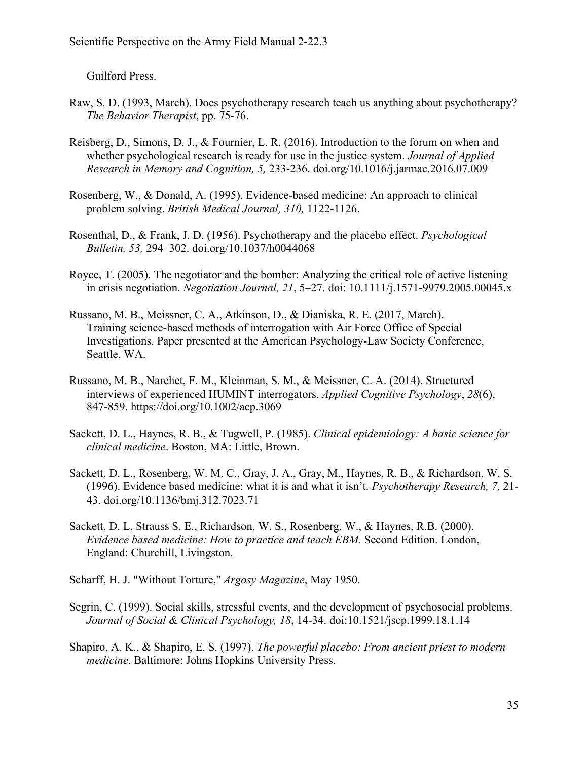Guilford Press.

- Raw, S. D. (1993, March). Does psychotherapy research teach us anything about psychotherapy? *The Behavior Therapist*, pp. 75-76.
- Reisberg, D., Simons, D. J., & Fournier, L. R. (2016). Introduction to the forum on when and whether psychological research is ready for use in the justice system. *Journal of Applied Research in Memory and Cognition, 5,* 233-236. doi.org/10.1016/j.jarmac.2016.07.009
- Rosenberg, W., & Donald, A. (1995). Evidence-based medicine: An approach to clinical problem solving. *British Medical Journal, 310,* 1122-1126.
- Rosenthal, D., & Frank, J. D. (1956). Psychotherapy and the placebo effect. *Psychological Bulletin, 53,* 294–302. doi.org/10.1037/h0044068
- Royce, T. (2005). The negotiator and the bomber: Analyzing the critical role of active listening in crisis negotiation. *Negotiation Journal, 21*, 5–27. doi: 10.1111/j.1571-9979.2005.00045.x
- Russano, M. B., Meissner, C. A., Atkinson, D., & Dianiska, R. E. (2017, March). Training science-based methods of interrogation with Air Force Office of Special Investigations. Paper presented at the American Psychology-Law Society Conference, Seattle, WA.
- Russano, M. B., Narchet, F. M., Kleinman, S. M., & Meissner, C. A. (2014). Structured interviews of experienced HUMINT interrogators. *Applied Cognitive Psychology*, *28*(6), 847-859. https://doi.org/10.1002/acp.3069
- Sackett, D. L., Haynes, R. B., & Tugwell, P. (1985). *Clinical epidemiology: A basic science for clinical medicine*. Boston, MA: Little, Brown.
- Sackett, D. L., Rosenberg, W. M. C., Gray, J. A., Gray, M., Haynes, R. B., & Richardson, W. S. (1996). Evidence based medicine: what it is and what it isn't. *Psychotherapy Research, 7,* 21- 43. doi.org/10.1136/bmj.312.7023.71
- Sackett, D. L, Strauss S. E., Richardson, W. S., Rosenberg, W., & Haynes, R.B. (2000). *Evidence based medicine: How to practice and teach EBM.* Second Edition. London, England: Churchill, Livingston.
- Scharff, H. J. "Without Torture," *Argosy Magazine*, May 1950.
- Segrin, C. (1999). Social skills, stressful events, and the development of psychosocial problems. *Journal of Social & Clinical Psychology, 18*, 14-34. doi:10.1521/jscp.1999.18.1.14
- Shapiro, A. K., & Shapiro, E. S. (1997). *The powerful placebo: From ancient priest to modern medicine*. Baltimore: Johns Hopkins University Press.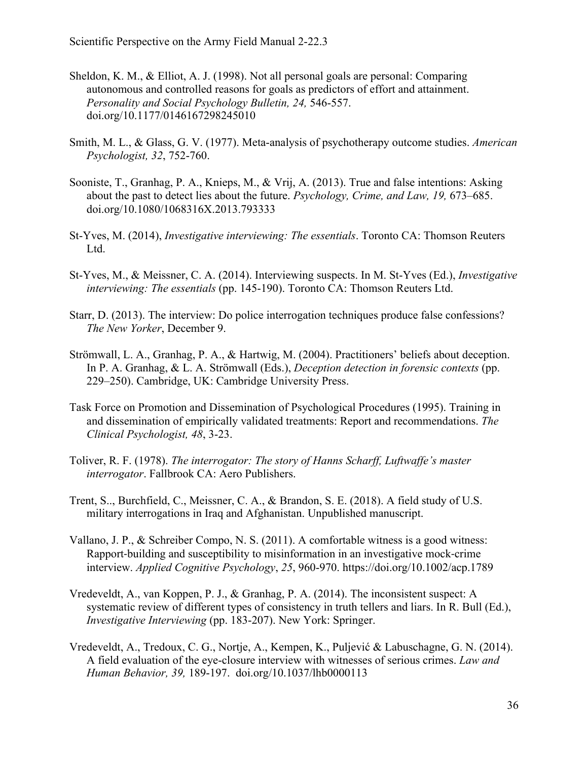- Sheldon, K. M., & Elliot, A. J. (1998). Not all personal goals are personal: Comparing autonomous and controlled reasons for goals as predictors of effort and attainment. *Personality and Social Psychology Bulletin, 24,* 546-557. doi.org/10.1177/0146167298245010
- Smith, M. L., & Glass, G. V. (1977). Meta-analysis of psychotherapy outcome studies. *American Psychologist, 32*, 752-760.
- Sooniste, T., Granhag, P. A., Knieps, M., & Vrij, A. (2013). True and false intentions: Asking about the past to detect lies about the future. *Psychology, Crime, and Law, 19,* 673–685. doi.org/10.1080/1068316X.2013.793333
- St-Yves, M. (2014), *Investigative interviewing: The essentials*. Toronto CA: Thomson Reuters Ltd.
- St-Yves, M., & Meissner, C. A. (2014). Interviewing suspects. In M. St-Yves (Ed.), *Investigative interviewing: The essentials* (pp. 145-190). Toronto CA: Thomson Reuters Ltd.
- Starr, D. (2013). The interview: Do police interrogation techniques produce false confessions? *The New Yorker*, December 9.
- Strömwall, L. A., Granhag, P. A., & Hartwig, M. (2004). Practitioners' beliefs about deception. In P. A. Granhag, & L. A. Strömwall (Eds.), *Deception detection in forensic contexts* (pp. 229–250). Cambridge, UK: Cambridge University Press.
- Task Force on Promotion and Dissemination of Psychological Procedures (1995). Training in and dissemination of empirically validated treatments: Report and recommendations. *The Clinical Psychologist, 48*, 3-23.
- Toliver, R. F. (1978). *The interrogator: The story of Hanns Scharff, Luftwaffe's master interrogator*. Fallbrook CA: Aero Publishers.
- Trent, S.., Burchfield, C., Meissner, C. A., & Brandon, S. E. (2018). A field study of U.S. military interrogations in Iraq and Afghanistan. Unpublished manuscript.
- Vallano, J. P., & Schreiber Compo, N. S. (2011). A comfortable witness is a good witness: Rapport-building and susceptibility to misinformation in an investigative mock-crime interview. *Applied Cognitive Psychology*, *25*, 960-970. https://doi.org/10.1002/acp.1789
- Vredeveldt, A., van Koppen, P. J., & Granhag, P. A. (2014). The inconsistent suspect: A systematic review of different types of consistency in truth tellers and liars. In R. Bull (Ed.), *Investigative Interviewing* (pp. 183-207). New York: Springer.
- Vredeveldt, A., Tredoux, C. G., Nortje, A., Kempen, K., Puljević & Labuschagne, G. N. (2014). A field evaluation of the eye-closure interview with witnesses of serious crimes. *Law and Human Behavior, 39,* 189-197. doi.org/10.1037/lhb0000113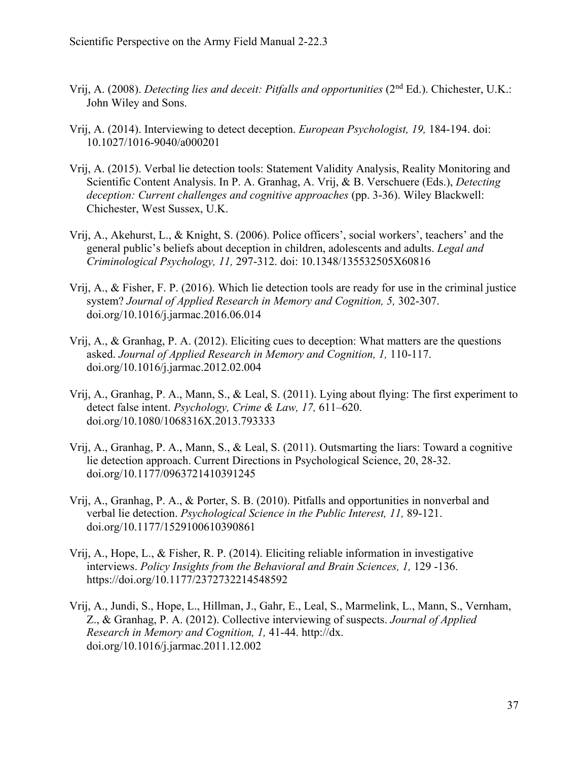- Vrij, A. (2008). *Detecting lies and deceit: Pitfalls and opportunities* (2nd Ed.). Chichester, U.K.: John Wiley and Sons.
- Vrij, A. (2014). Interviewing to detect deception. *European Psychologist, 19,* 184-194. doi: 10.1027/1016-9040/a000201
- Vrij, A. (2015). Verbal lie detection tools: Statement Validity Analysis, Reality Monitoring and Scientific Content Analysis. In P. A. Granhag, A. Vrij, & B. Verschuere (Eds.), *Detecting deception: Current challenges and cognitive approaches* (pp. 3-36). Wiley Blackwell: Chichester, West Sussex, U.K.
- Vrij, A., Akehurst, L., & Knight, S. (2006). Police officers', social workers', teachers' and the general public's beliefs about deception in children, adolescents and adults. *Legal and Criminological Psychology, 11,* 297-312. doi: 10.1348/135532505X60816
- Vrij, A., & Fisher, F. P. (2016). Which lie detection tools are ready for use in the criminal justice system? *Journal of Applied Research in Memory and Cognition, 5,* 302-307. doi.org/10.1016/j.jarmac.2016.06.014
- Vrij, A., & Granhag, P. A. (2012). Eliciting cues to deception: What matters are the questions asked. *Journal of Applied Research in Memory and Cognition, 1,* 110-117. doi.org/10.1016/j.jarmac.2012.02.004
- Vrij, A., Granhag, P. A., Mann, S., & Leal, S. (2011). Lying about flying: The first experiment to detect false intent. *Psychology, Crime & Law, 17,* 611–620. doi.org/10.1080/1068316X.2013.793333
- Vrij, A., Granhag, P. A., Mann, S., & Leal, S. (2011). Outsmarting the liars: Toward a cognitive lie detection approach. Current Directions in Psychological Science, 20, 28-32. doi.org/10.1177/0963721410391245
- Vrij, A., Granhag, P. A., & Porter, S. B. (2010). Pitfalls and opportunities in nonverbal and verbal lie detection. *Psychological Science in the Public Interest, 11,* 89-121. doi.org/10.1177/1529100610390861
- Vrij, A., Hope, L., & Fisher, R. P. (2014). Eliciting reliable information in investigative interviews. *Policy Insights from the Behavioral and Brain Sciences, 1,* 129 -136. https://doi.org/10.1177/2372732214548592
- Vrij, A., Jundi, S., Hope, L., Hillman, J., Gahr, E., Leal, S., Marmelink, L., Mann, S., Vernham, Z., & Granhag, P. A. (2012). Collective interviewing of suspects. *Journal of Applied Research in Memory and Cognition, 1,* 41-44. http://dx. doi.org/10.1016/j.jarmac.2011.12.002